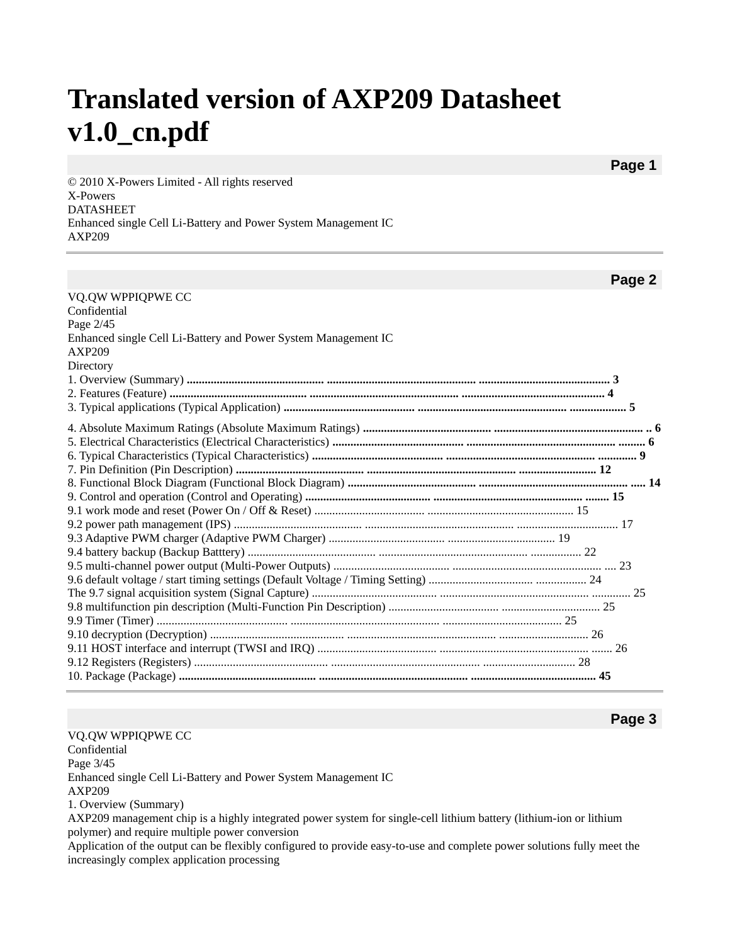# **Translated version of AXP209 Datasheet v1.0\_cn.pdf**

© 2010 X-Powers Limited - All rights reserved X-Powers DATASHEET Enhanced single Cell Li-Battery and Power System Management IC AXP209

**Page 2** VQ.QW WPPIQPWE CC Confidential Page 2/45 Enhanced single Cell Li-Battery and Power System Management IC AXP209 **Directory** 1. Overview (Summary) **.............................................. .................................................. ............................................ 3** 2. Features (Feature) **.............................................. .................................................. ................................................ 4** 3. Typical applications (Typical Application) **............................................ .................................................. ................... 5** 4. Absolute Maximum Ratings (Absolute Maximum Ratings) **........................................... .................................................. .. 6** 5. Electrical Characteristics (Electrical Characteristics) **............................................ .................................................. ......... 6** 6. Typical Characteristics (Typical Characteristics) **............................................ .................................................. ............. 9** 7. Pin Definition (Pin Description) **........................................... .................................................. .......................... 12** 8. Functional Block Diagram (Functional Block Diagram) **........................................... .................................................. ..... 14** 9. Control and operation (Control and Operating) **.......................................... .................................................. ........ 15** 9.1 work mode and reset (Power On / Off & Reset) ..................................... ................................................. 15 9.2 power path management (IPS) ........................................... .................................................. .................................. 17 9.3 Adaptive PWM charger (Adaptive PWM Charger) ....................................... .................................... 19 9.4 battery backup (Backup Batttery) ........................................... .................................................. ................. 22 9.5 multi-channel power output (Multi-Power Outputs) ....................................... .................................................. .... 23 9.6 default voltage / start timing settings (Default Voltage / Timing Setting) ................................... ................. 24 The 9.7 signal acquisition system (Signal Capture) .......................................... .................................................. ............. 25 9.8 multifunction pin description (Multi-Function Pin Description) ..................................... ................................. 25 9.9 Timer (Timer) ............................................ .................................................. ........................................ 25 9.10 decryption (Decryption) ............................................. .................................................. .............................. 26 9.11 HOST interface and interrupt (TWSI and IRQ) ........................................ .................................................. ....... 26 9.12 Registers (Registers) ............................................. .................................................. ............................... 28 10. Package (Package) **.............................................. .................................................. .......................................... 45**

**Page 3**

VQ.QW WPPIQPWE CC Confidential Page 3/45 Enhanced single Cell Li-Battery and Power System Management IC AXP209 1. Overview (Summary)

AXP209 management chip is a highly integrated power system for single-cell lithium battery (lithium-ion or lithium polymer) and require multiple power conversion

Application of the output can be flexibly configured to provide easy-to-use and complete power solutions fully meet the increasingly complex application processing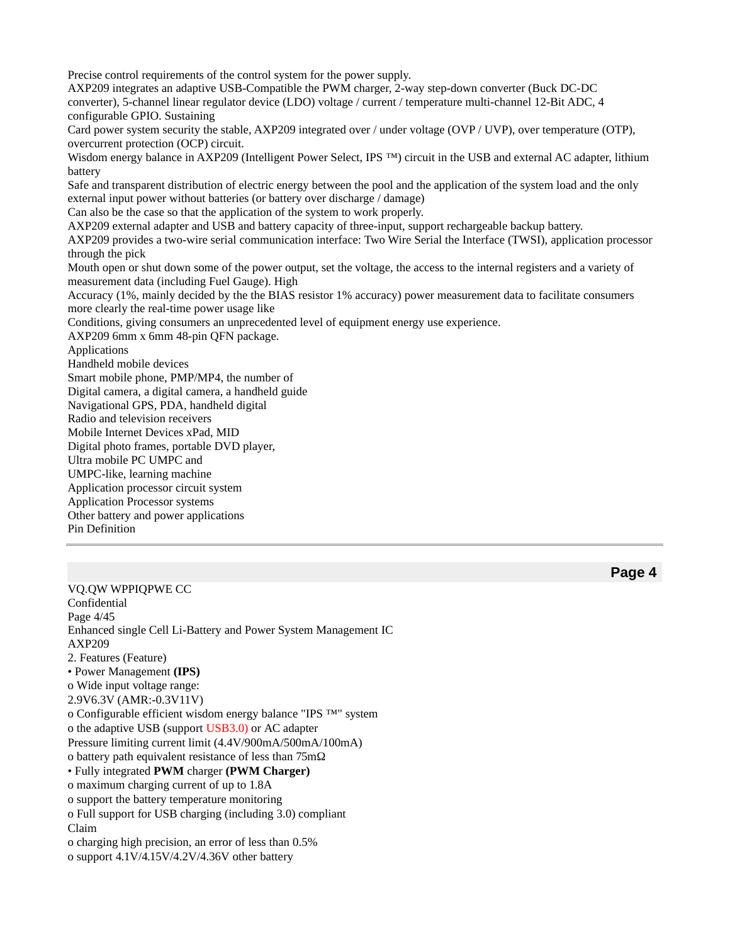Precise control requirements of the control system for the power supply. AXP209 integrates an adaptive USB-Compatible the PWM charger, 2-way step-down converter (Buck DC-DC converter), 5-channel linear regulator device (LDO) voltage / current / temperature multi-channel 12-Bit ADC, 4 configurable GPIO. Sustaining Card power system security the stable, AXP209 integrated over / under voltage (OVP / UVP), over temperature (OTP), overcurrent protection (OCP) circuit. Wisdom energy balance in AXP209 (Intelligent Power Select, IPS ™) circuit in the USB and external AC adapter, lithium battery Safe and transparent distribution of electric energy between the pool and the application of the system load and the only external input power without batteries (or battery over discharge / damage) Can also be the case so that the application of the system to work properly. AXP209 external adapter and USB and battery capacity of three-input, support rechargeable backup battery. AXP209 provides a two-wire serial communication interface: Two Wire Serial the Interface (TWSI), application processor through the pick Mouth open or shut down some of the power output, set the voltage, the access to the internal registers and a variety of measurement data (including Fuel Gauge). High Accuracy (1%, mainly decided by the the BIAS resistor 1% accuracy) power measurement data to facilitate consumers more clearly the real-time power usage like Conditions, giving consumers an unprecedented level of equipment energy use experience. AXP209 6mm x 6mm 48-pin QFN package. **Applications** Handheld mobile devices Smart mobile phone, PMP/MP4, the number of Digital camera, a digital camera, a handheld guide Navigational GPS, PDA, handheld digital Radio and television receivers Mobile Internet Devices xPad, MID Digital photo frames, portable DVD player, Ultra mobile PC UMPC and UMPC-like, learning machine Application processor circuit system Application Processor systems Other battery and power applications Pin Definition

#### VQ.QW WPPIQPWE CC

Confidential Page 4/45 Enhanced single Cell Li-Battery and Power System Management IC AXP209 2. Features (Feature) • Power Management **(IPS)** o Wide input voltage range: 2.9V6.3V (AMR:-0.3V11V) o Configurable efficient wisdom energy balance "IPS ™" system o the adaptive USB (support USB3.0) or AC adapter Pressure limiting current limit (4.4V/900mA/500mA/100mA) o battery path equivalent resistance of less than 75mΩ • Fully integrated **PWM** charger **(PWM Charger)** o maximum charging current of up to 1.8A o support the battery temperature monitoring o Full support for USB charging (including 3.0) compliant Claim o charging high precision, an error of less than 0.5% o support 4.1V/4.15V/4.2V/4.36V other battery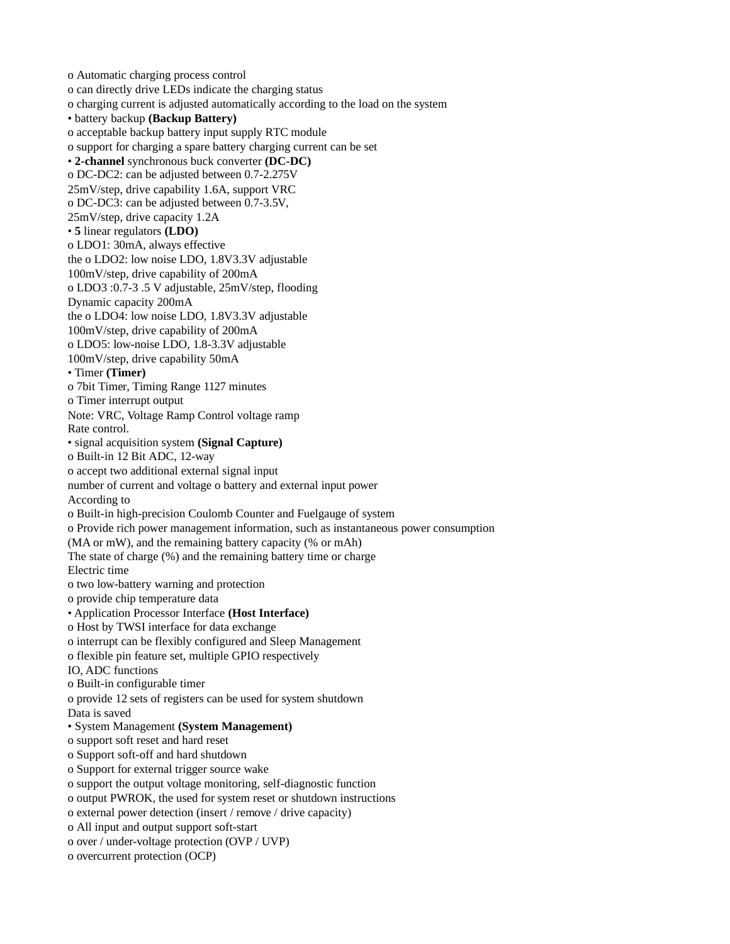o Automatic charging process control o can directly drive LEDs indicate the charging status o charging current is adjusted automatically according to the load on the system • battery backup **(Backup Battery)** o acceptable backup battery input supply RTC module o support for charging a spare battery charging current can be set • **2-channel** synchronous buck converter **(DC-DC)** o DC-DC2: can be adjusted between 0.7-2.275V 25mV/step, drive capability 1.6A, support VRC o DC-DC3: can be adjusted between 0.7-3.5V, 25mV/step, drive capacity 1.2A • **5** linear regulators **(LDO)** o LDO1: 30mA, always effective the o LDO2: low noise LDO, 1.8V3.3V adjustable 100mV/step, drive capability of 200mA o LDO3 :0.7-3 .5 V adjustable, 25mV/step, flooding Dynamic capacity 200mA the o LDO4: low noise LDO, 1.8V3.3V adjustable 100mV/step, drive capability of 200mA o LDO5: low-noise LDO, 1.8-3.3V adjustable 100mV/step, drive capability 50mA • Timer **(Timer)** o 7bit Timer, Timing Range 1127 minutes o Timer interrupt output Note: VRC, Voltage Ramp Control voltage ramp Rate control. • signal acquisition system **(Signal Capture)** o Built-in 12 Bit ADC, 12-way o accept two additional external signal input number of current and voltage o battery and external input power According to o Built-in high-precision Coulomb Counter and Fuelgauge of system o Provide rich power management information, such as instantaneous power consumption (MA or mW), and the remaining battery capacity (% or mAh) The state of charge (%) and the remaining battery time or charge Electric time o two low-battery warning and protection o provide chip temperature data • Application Processor Interface **(Host Interface)** o Host by TWSI interface for data exchange o interrupt can be flexibly configured and Sleep Management o flexible pin feature set, multiple GPIO respectively IO, ADC functions o Built-in configurable timer o provide 12 sets of registers can be used for system shutdown Data is saved • System Management **(System Management)** o support soft reset and hard reset o Support soft-off and hard shutdown o Support for external trigger source wake o support the output voltage monitoring, self-diagnostic function o output PWROK, the used for system reset or shutdown instructions o external power detection (insert / remove / drive capacity) o All input and output support soft-start o over / under-voltage protection (OVP / UVP) o overcurrent protection (OCP)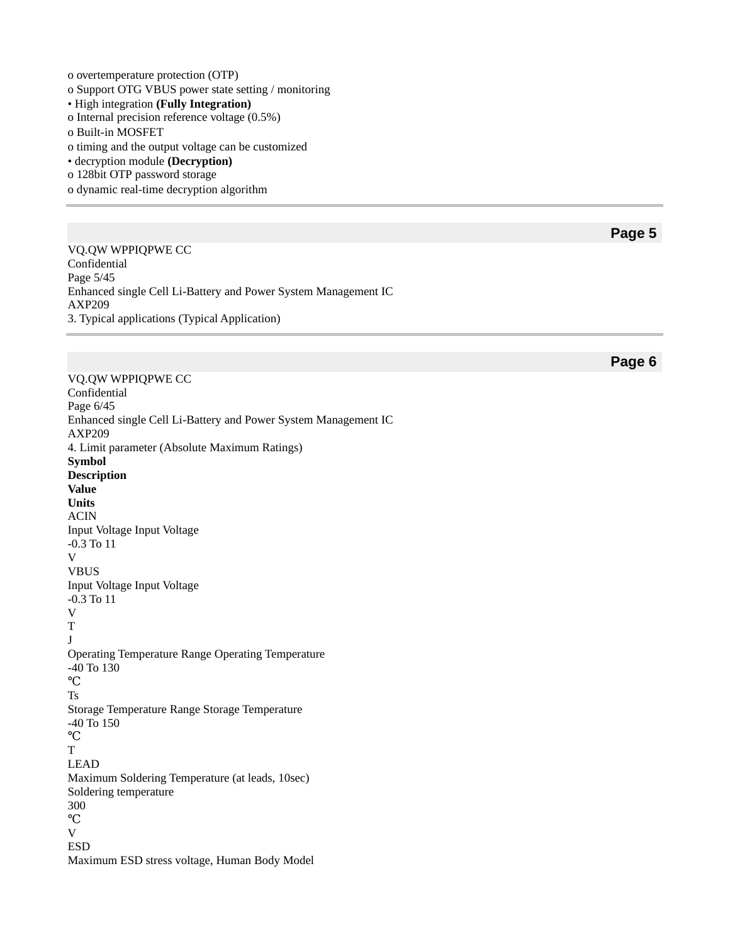o overtemperature protection (OTP) o Support OTG VBUS power state setting / monitoring • High integration **(Fully Integration)** o Internal precision reference voltage (0.5%) o Built-in MOSFET o timing and the output voltage can be customized • decryption module **(Decryption)** o 128bit OTP password storage o dynamic real-time decryption algorithm

VQ.QW WPPIQPWE CC Confidential Page 5/45 Enhanced single Cell Li-Battery and Power System Management IC AXP209 3. Typical applications (Typical Application)

VQ.QW WPPIQPWE CC Confidential Page 6/45 Enhanced single Cell Li-Battery and Power System Management IC AXP209 4. Limit parameter (Absolute Maximum Ratings) **Symbol Description Value Units** ACIN Input Voltage Input Voltage -0.3 To 11 V VBUS Input Voltage Input Voltage -0.3 To 11 V T J Operating Temperature Range Operating Temperature -40 To 130 ℃ Ts Storage Temperature Range Storage Temperature -40 To 150 ℃ T LEAD Maximum Soldering Temperature (at leads, 10sec) Soldering temperature 300 ℃ V ESD Maximum ESD stress voltage, Human Body Model

**Page 6**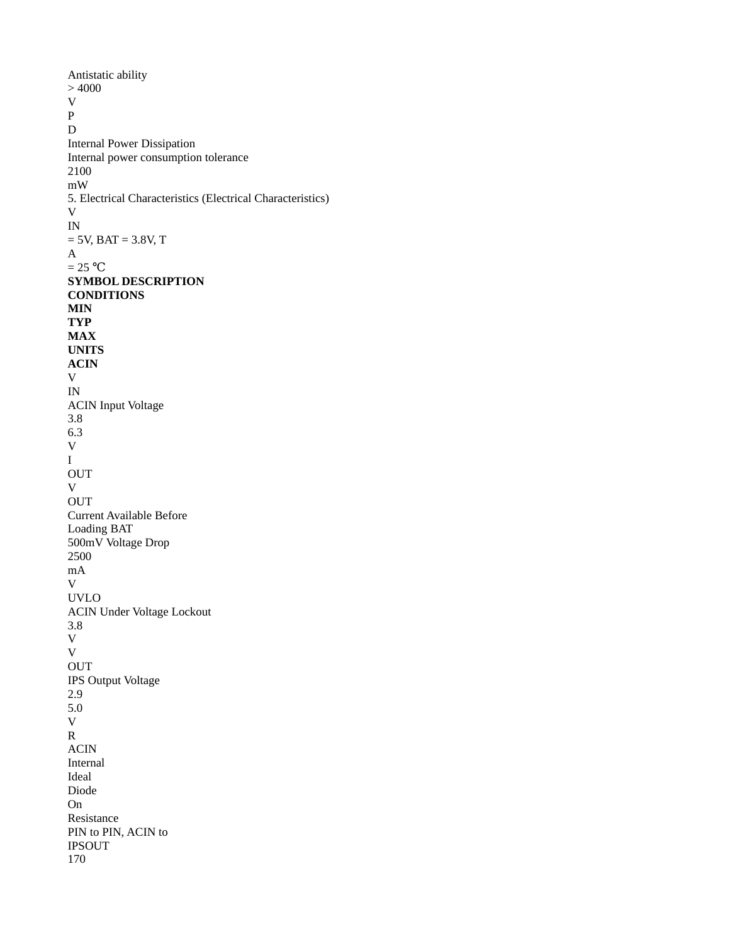```
Antistatic ability 
> 4000V 
P 
\mathbf DInternal Power Dissipation 
Internal power consumption tolerance 
2100 
mW 
5. Electrical Characteristics (Electrical Characteristics) 
V 
IN 
= 5V, BAT = 3.8V, T
A 
= 25 °CSYMBOL DESCRIPTION
CONDITIONS
MIN
TYP
MAX
UNITS
ACIN
V 
IN 
ACIN Input Voltage 
3.8 
6.3 
V 
I 
OUT 
V 
OUT
Current Available Before 
Loading BAT 
500mV Voltage Drop 
2500 
mA 
V 
UVLO 
ACIN Under Voltage Lockout 
3.8 
V 
V 
OUT 
IPS Output Voltage 
2.9 
5.0 
V 
R 
ACIN 
Internal 
Ideal 
Diode 
On 
Resistance 
PIN to PIN, ACIN to 
IPSOUT 
170
```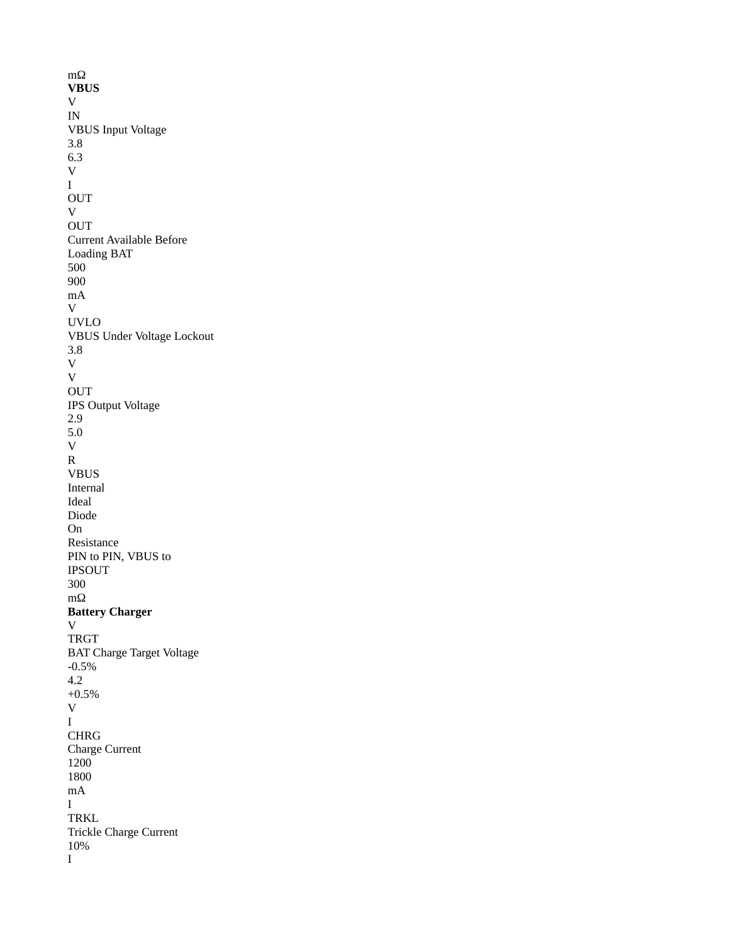mΩ **VBUS** V IN VBUS Input Voltage 3.8 6.3 V I OUT V **OUT** Current Available Before Loading BAT 500 900 mA V UVLO VBUS Under Voltage Lockout 3.8 V V OUT IPS Output Voltage 2.9 5.0 V R VBUS Internal Ideal Diode On Resistance PIN to PIN, VBUS to IPSOUT 300 mΩ **Battery Charger** V TRGT BAT Charge Target Voltage -0.5% 4.2 +0.5% V I **CHRG** Charge Current 1200 1800 mA I TRKL Trickle Charge Current 10% I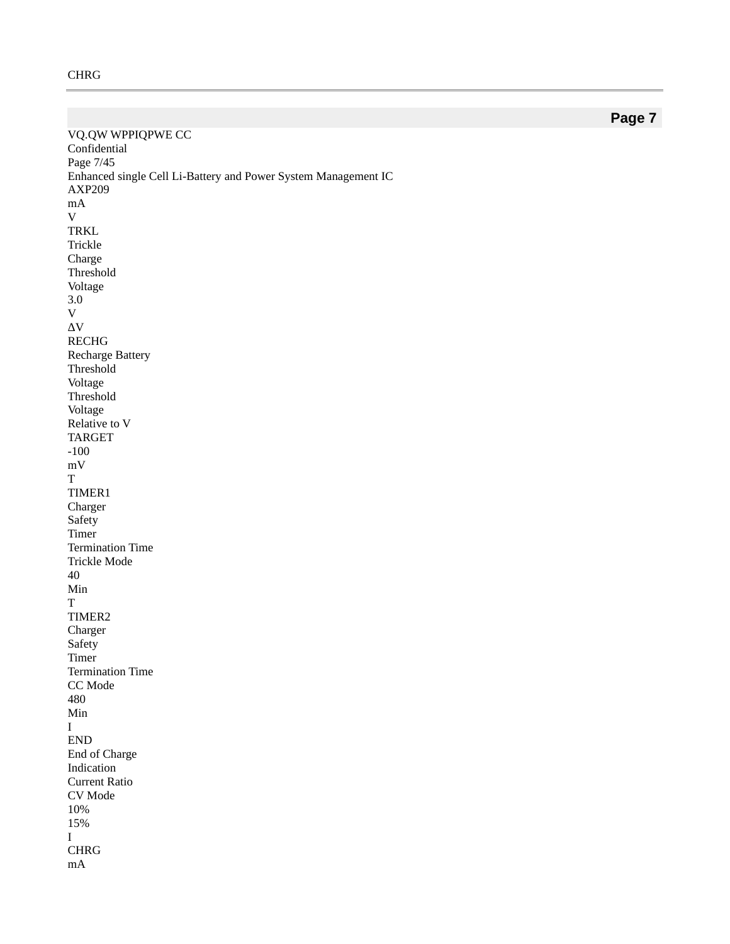**CHRG** 

VQ.QW WPPIQPWE CC Confidential Page 7/45 Enhanced single Cell Li-Battery and Power System Management IC AXP209 mA V **TRKL** Trickle Charge Threshold Voltage 3.0 V ΔV RECHG Recharge Battery Threshold Voltage Threshold Voltage Relative to V TARGET -100 mV T TIMER1 Charger **Safety** Timer Termination Time Trickle Mode 40 Min T TIMER2 Charger **Safety** Timer Termination Time CC Mode 480 Min I END End of Charge Indication Current Ratio CV Mode 10% 15% I **CHRG** mA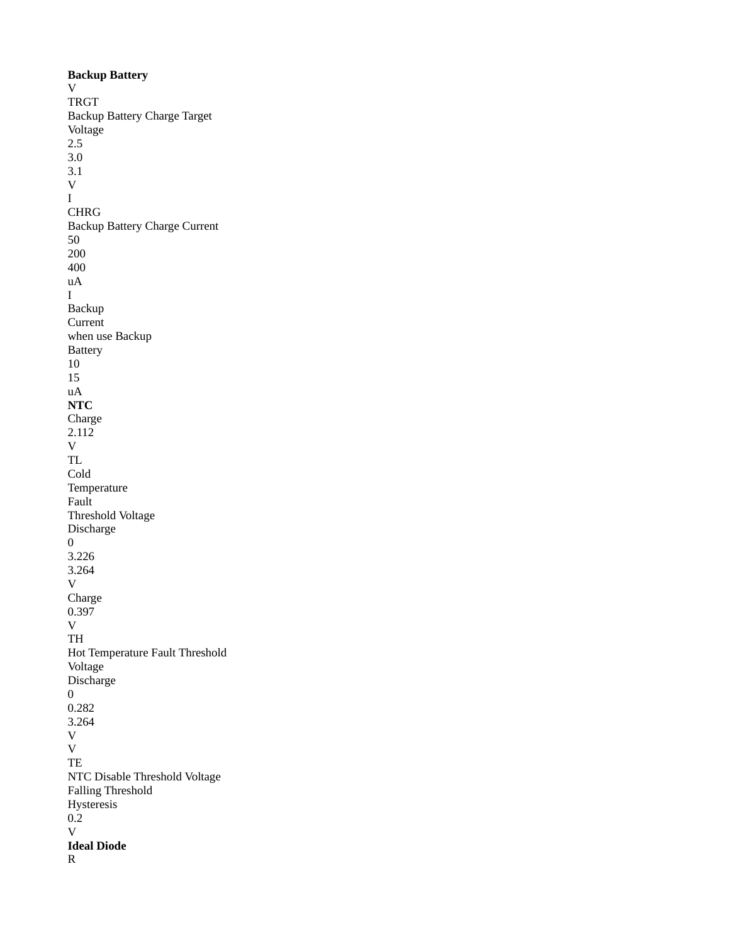**Backup Battery** V TRGT Backup Battery Charge Target Voltage 2.5 3.0 3.1 V I CHRG Backup Battery Charge Current 50 200 400 uA I Backup Current when use Backup Battery 10 15 uA **NTC** Charge 2.112 V TL Cold Temperature Fault Threshold Voltage Discharge 0 3.226 3.264 V Charge 0.397 V TH Hot Temperature Fault Threshold Voltage Discharge 0 0.282 3.264 V V TE NTC Disable Threshold Voltage Falling Threshold Hysteresis 0.2 V **Ideal Diode** R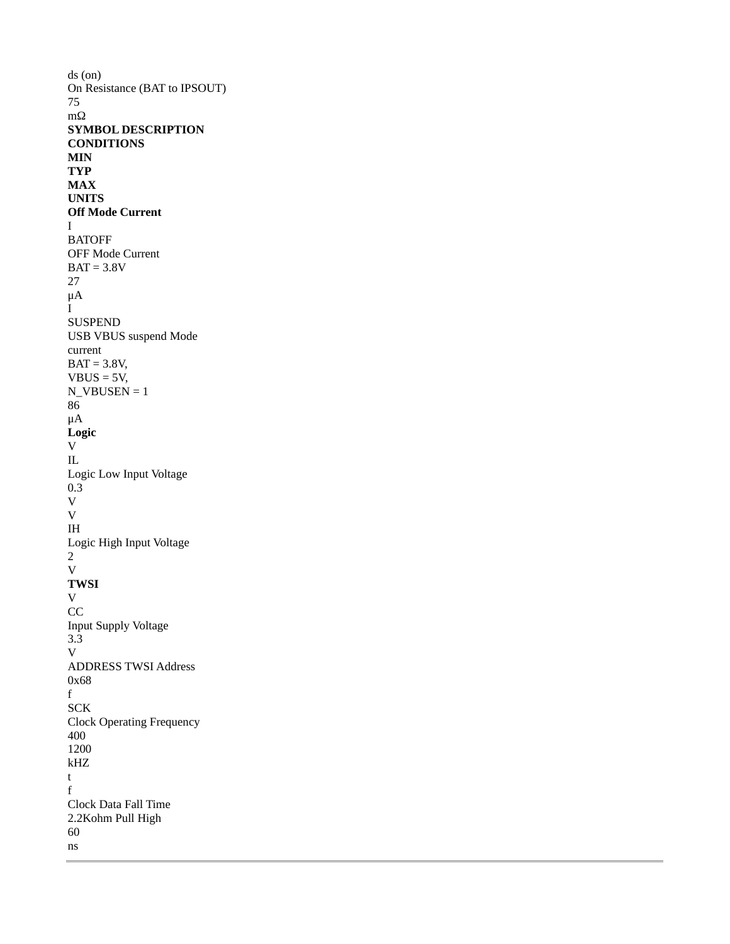ds (on) On Resistance (BAT to IPSOUT) 75 mΩ **SYMBOL DESCRIPTION CONDITIONS MIN TYP MAX UNITS Off Mode Current** I BATOFF OFF Mode Current  $BAT = 3.8V$ 27 μA I **SUSPEND** USB VBUS suspend Mode current  $BAT = 3.8V,$  $VBUS = 5V,$  $N_VBUSEN = 1$ 86 μA **Logic** V IL Logic Low Input Voltage 0.3 V V IH Logic High Input Voltage 2 V **TWSI** V CC Input Supply Voltage 3.3 V ADDRESS TWSI Address 0x68 f SCK Clock Operating Frequency 400 1200 kHZ t f Clock Data Fall Time 2.2Kohm Pull High 60 ns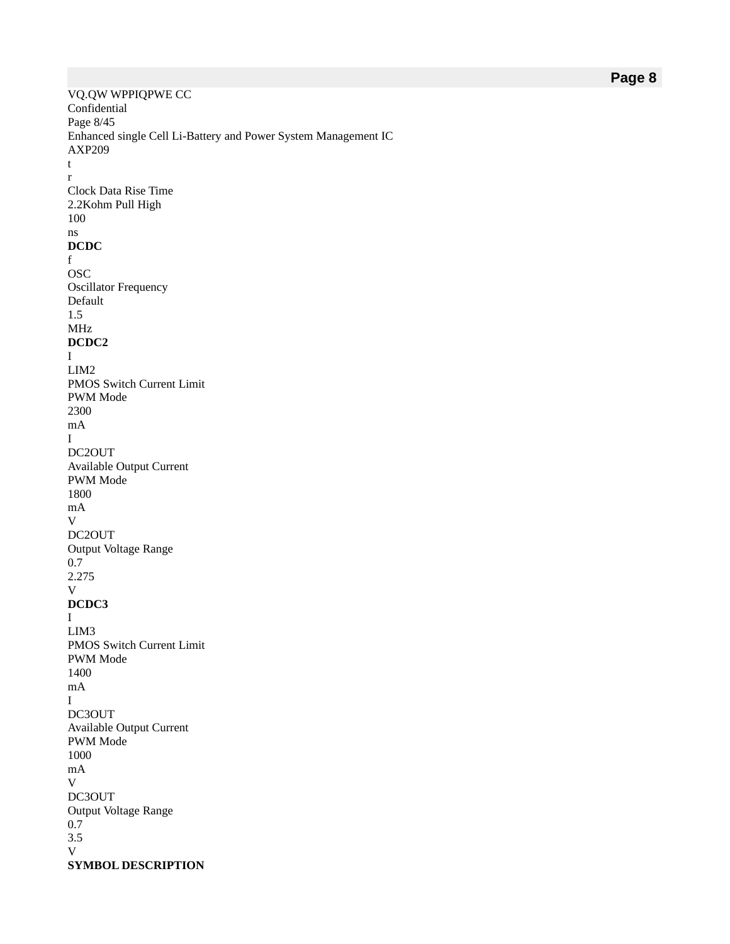VQ.QW WPPIQPWE CC Confidential Page 8/45 Enhanced single Cell Li-Battery and Power System Management IC AXP209 t r Clock Data Rise Time 2.2Kohm Pull High 100 ns **DCDC** f OSC Oscillator Frequency Default 1.5 MHz **DCDC2** I LIM2 PMOS Switch Current Limit PWM Mode 2300 mA I DC2OUT Available Output Current PWM Mode 1800 mA V DC2OUT Output Voltage Range 0.7 2.275 V **DCDC3** I LIM3 PMOS Switch Current Limit PWM Mode 1400 mA I DC3OUT Available Output Current PWM Mode 1000 mA V DC3OUT Output Voltage Range 0.7 3.5 V **SYMBOL DESCRIPTION**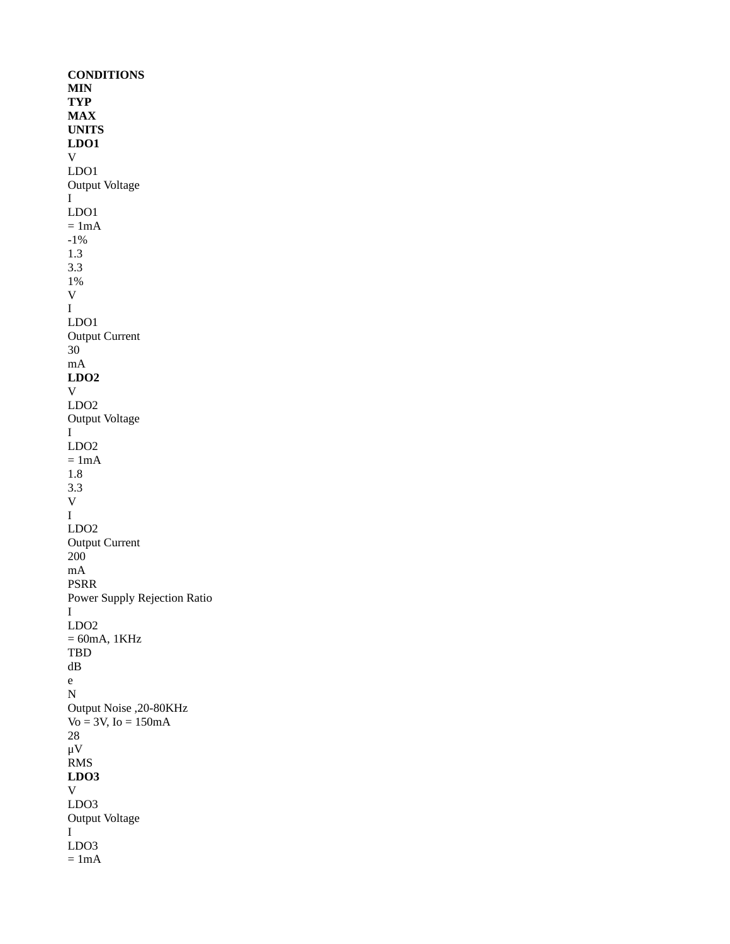**CONDITIONS MIN TYP MAX UNITS LDO1** V LDO1 Output Voltage I LDO1  $= 1mA$ -1% 1.3 3.3 1% V I LDO1 Output Current 30 mA **LDO2** V LDO2 Output Voltage I LDO2  $= 1mA$ 1.8 3.3 V I LDO2 Output Current 200 mA PSRR Power Supply Rejection Ratio I LDO2 = 60mA, 1KHz TBD dB e N Output Noise ,20-80KHz  $V_0 = 3V$ , Io = 150mA 28  $\mu\mathrm{V}$ RMS **LDO3** V LDO3 Output Voltage I LDO3  $= 1<sub>m</sub>A$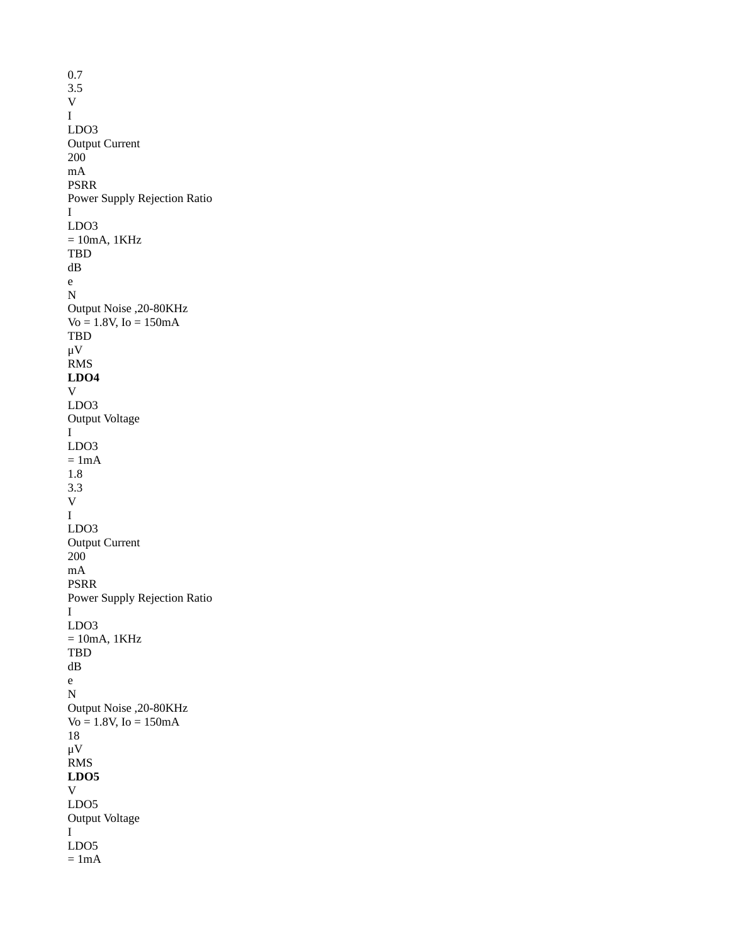0.7 3.5 V I LDO3 Output Current 200 mA PSRR Power Supply Rejection Ratio I LDO3 = 10mA, 1KHz TBD dB e N Output Noise ,20-80KHz  $V_0 = 1.8V$ , Io = 150mA TBD μV RMS **LDO4** V LDO3 Output Voltage I LDO3  $= 1mA$ 1.8 3.3 V I LDO3 Output Current 200 mA PSRR Power Supply Rejection Ratio I LDO3 = 10mA, 1KHz TBD dB e N Output Noise ,20-80KHz  $V_0 = 1.8V$ , Io = 150mA 18 μV RMS **LDO5** V LDO5 Output Voltage I LDO5  $= 1<sub>m</sub>A$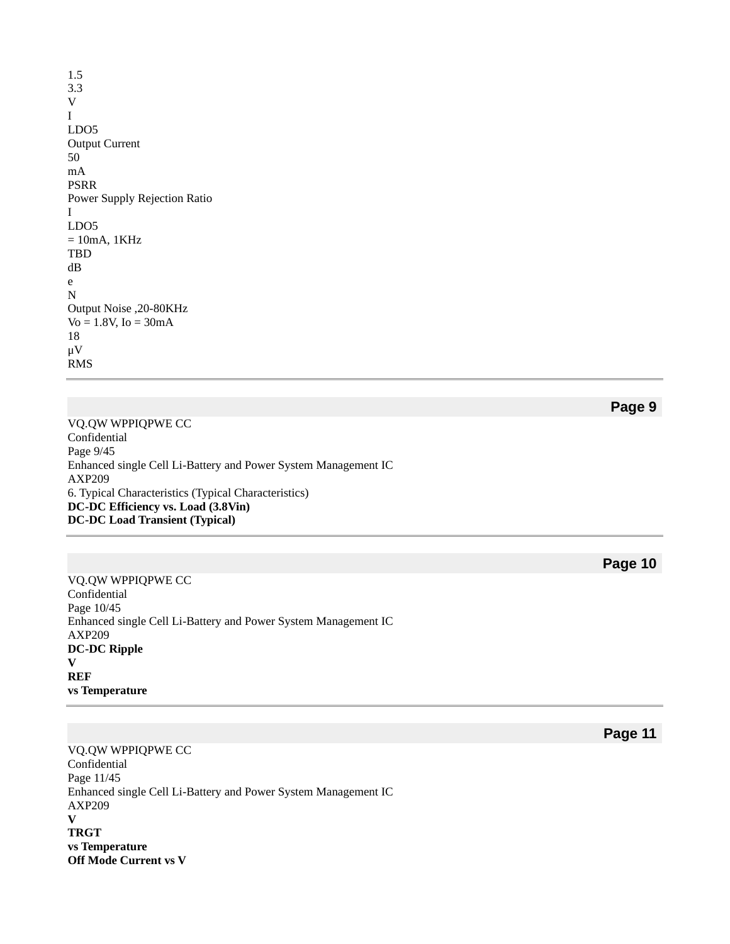1.5 3.3 V I LDO5 Output Current 50 mA PSRR Power Supply Rejection Ratio I LDO5  $= 10$ mA, 1KHz TBD dB e N Output Noise ,20-80KHz  $V_0 = 1.8V$ , Io = 30mA 18 μV RMS

VQ.QW WPPIQPWE CC Confidential Page 9/45 Enhanced single Cell Li-Battery and Power System Management IC AXP209 6. Typical Characteristics (Typical Characteristics) **DC-DC Efficiency vs. Load (3.8Vin) DC-DC Load Transient (Typical)**

VQ.QW WPPIQPWE CC Confidential Page 10/45 Enhanced single Cell Li-Battery and Power System Management IC AXP209 **DC-DC Ripple V REF vs Temperature**

VQ.QW WPPIQPWE CC Confidential Page 11/45 Enhanced single Cell Li-Battery and Power System Management IC AXP209 **V TRGT vs Temperature Off Mode Current vs V**

**Page 9**

**Page 10**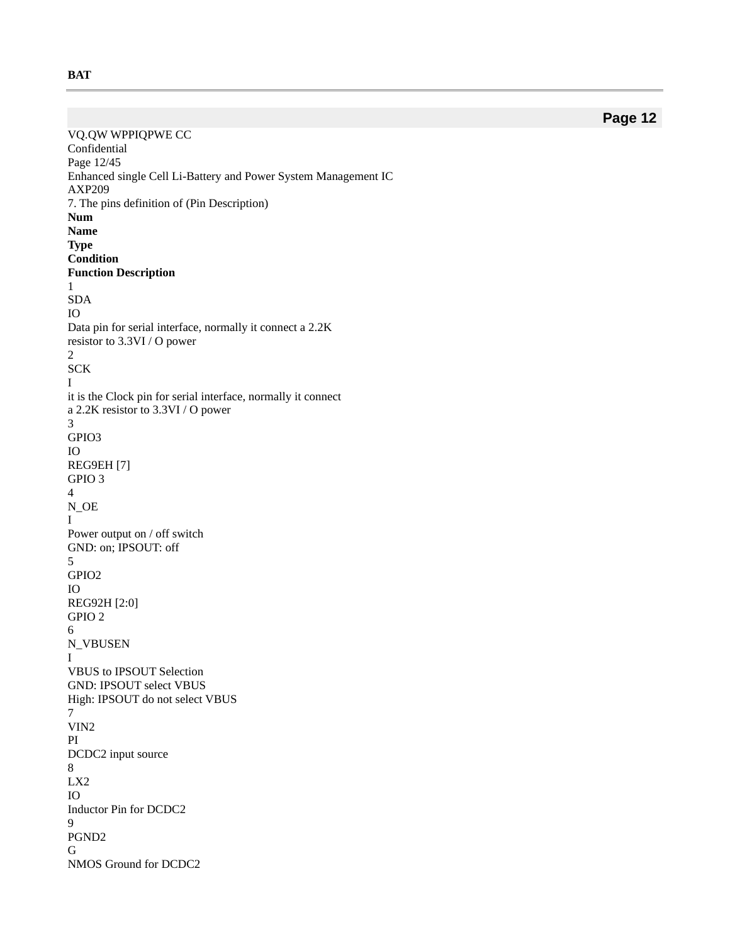**Page 12**

```
VQ.QW WPPIQPWE CC 
Confidential 
Page 12/45 
Enhanced single Cell Li-Battery and Power System Management IC 
AXP209 
7. The pins definition of (Pin Description) 
Num
Name
Type
Condition
Function Description
1 
SDA 
IO 
Data pin for serial interface, normally it connect a 2.2K 
resistor to 3.3VI / O power 
2 
SCK 
I 
it is the Clock pin for serial interface, normally it connect 
a 2.2K resistor to 3.3VI / O power 
3 
GPIO3 
IO 
REG9EH [7] 
GPIO 3 
4 
N_OE 
I 
Power output on / off switch 
GND: on; IPSOUT: off 
5 
GPIO2 
IO 
REG92H [2:0] 
GPIO 2 
6 
N_VBUSEN 
I 
VBUS to IPSOUT Selection 
GND: IPSOUT select VBUS 
High: IPSOUT do not select VBUS 
7 
VIN2 
PI 
DCDC2 input source 
8 
LX2 
IO 
Inductor Pin for DCDC2 
9 
PGND2 
G 
NMOS Ground for DCDC2
```
**BAT**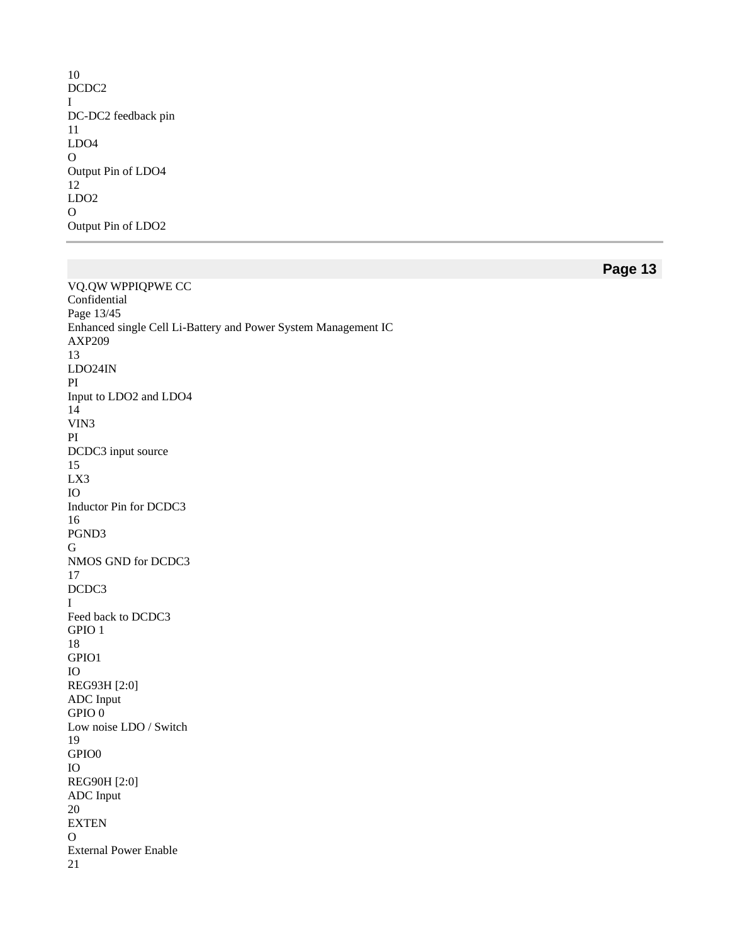10 DCDC2 I DC-DC2 feedback pin 11 LDO4 O Output Pin of LDO4 12 LDO2 O Output Pin of LDO2

**Page 13**

VQ.QW WPPIQPWE CC Confidential Page 13/45 Enhanced single Cell Li-Battery and Power System Management IC AXP209 13 LDO24IN PI Input to LDO2 and LDO4 14 VIN3 PI DCDC3 input source 15 LX3 IO Inductor Pin for DCDC3 16 PGND3 G NMOS GND for DCDC3 17 DCDC3 I Feed back to DCDC3 GPIO 1 18 GPIO1 IO REG93H [2:0] ADC Input GPIO 0 Low noise LDO / Switch 19 GPIO0 IO REG90H [2:0] ADC Input 20 EXTEN O External Power Enable 21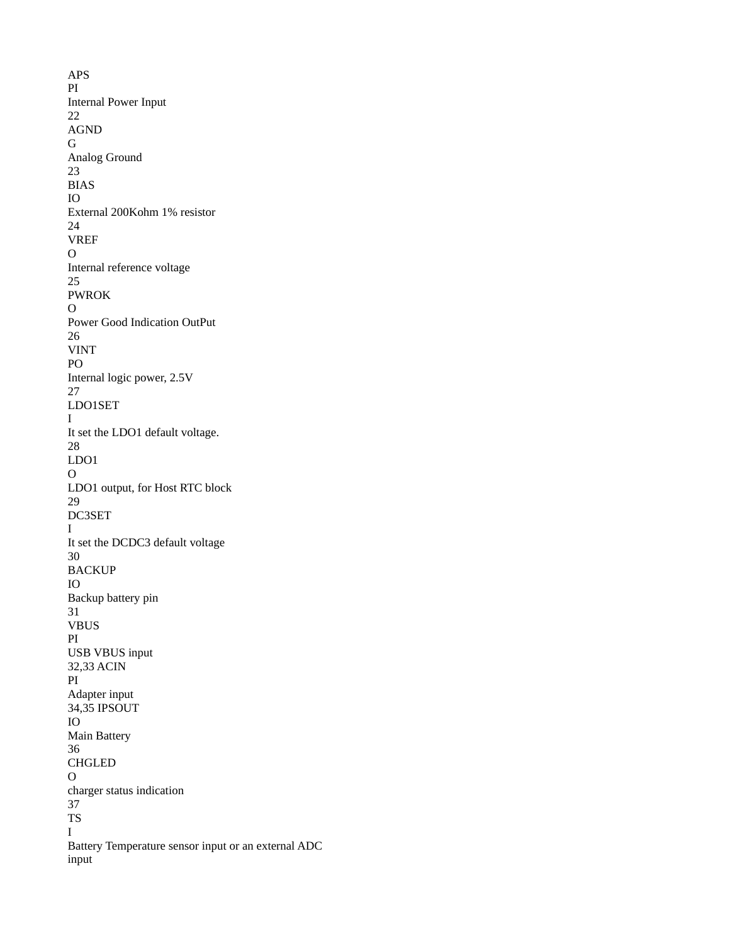APS PI Internal Power Input 22 AGND G Analog Ground 23 BIAS IO External 200Kohm 1% resistor 24 VREF O Internal reference voltage 25 PWROK O Power Good Indication OutPut 26 VINT PO Internal logic power, 2.5V 27 LDO1SET I It set the LDO1 default voltage. 28 LDO1 O LDO1 output, for Host RTC block 29 DC3SET I It set the DCDC3 default voltage 30 BACKUP IO Backup battery pin 31 VBUS PI USB VBUS input 32,33 ACIN PI Adapter input 34,35 IPSOUT IO Main Battery 36 CHGLED O charger status indication 37 TS I Battery Temperature sensor input or an external ADC input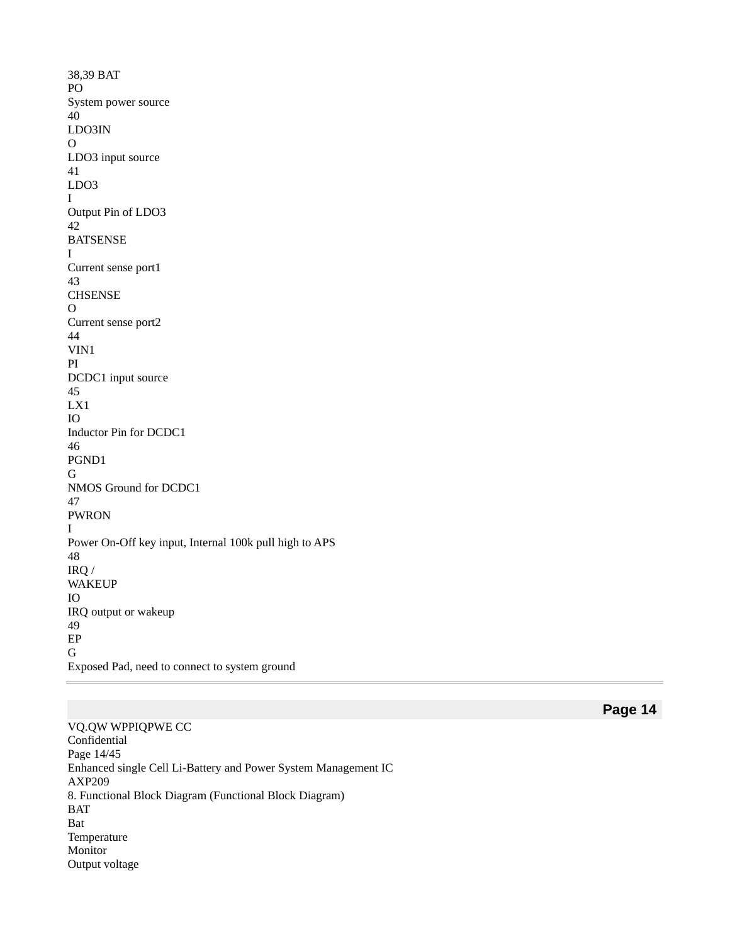38,39 BAT PO System power source 40 LDO3IN O LDO3 input source 41 LDO3 I Output Pin of LDO3 42 BATSENSE I Current sense port1 43 **CHSENSE** O Current sense port2 44 VIN1 PI DCDC1 input source 45 LX1 IO Inductor Pin for DCDC1 46 PGND1 G NMOS Ground for DCDC1 47 PWRON I Power On-Off key input, Internal 100k pull high to APS 48 IRQ / WAKEUP IO IRQ output or wakeup 49 EP G Exposed Pad, need to connect to system ground

VQ.QW WPPIQPWE CC Confidential Page 14/45 Enhanced single Cell Li-Battery and Power System Management IC AXP209 8. Functional Block Diagram (Functional Block Diagram) BAT Bat Temperature Monitor Output voltage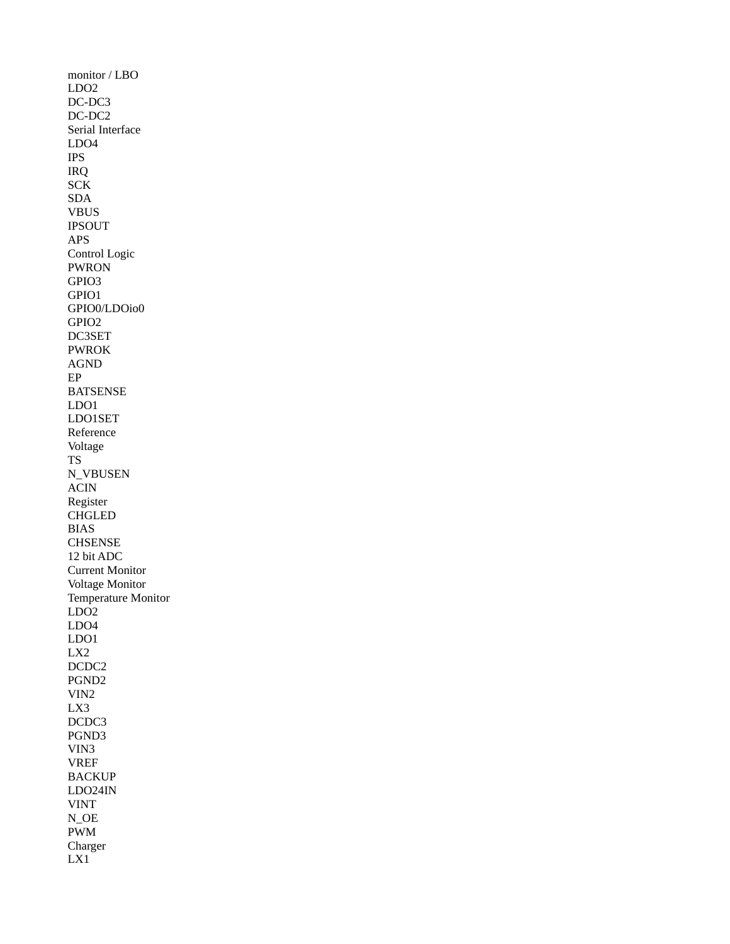monitor / LBO LDO2 DC-DC3 DC-DC2 Serial Interface LDO4 IPS IRQ SCK SDA VBUS IPSOUT APS Control Logic PWRON GPIO3 GPIO1 GPIO0/LDOio0 GPIO2 DC3SET PWROK AGND EP BATSENSE LDO1 LDO1SET Reference Voltage TS N\_VBUSEN ACIN Register **CHGLED** BIAS CHSENSE 12 bit ADC Current Monitor Voltage Monitor Temperature Monitor LDO2 LDO4 LDO1 LX2 DCDC2 PGND2 VIN2 LX3 DCDC3 PGND3 VIN3 VREF **BACKUP** LDO24IN VINT N\_OE PWM Charger LX1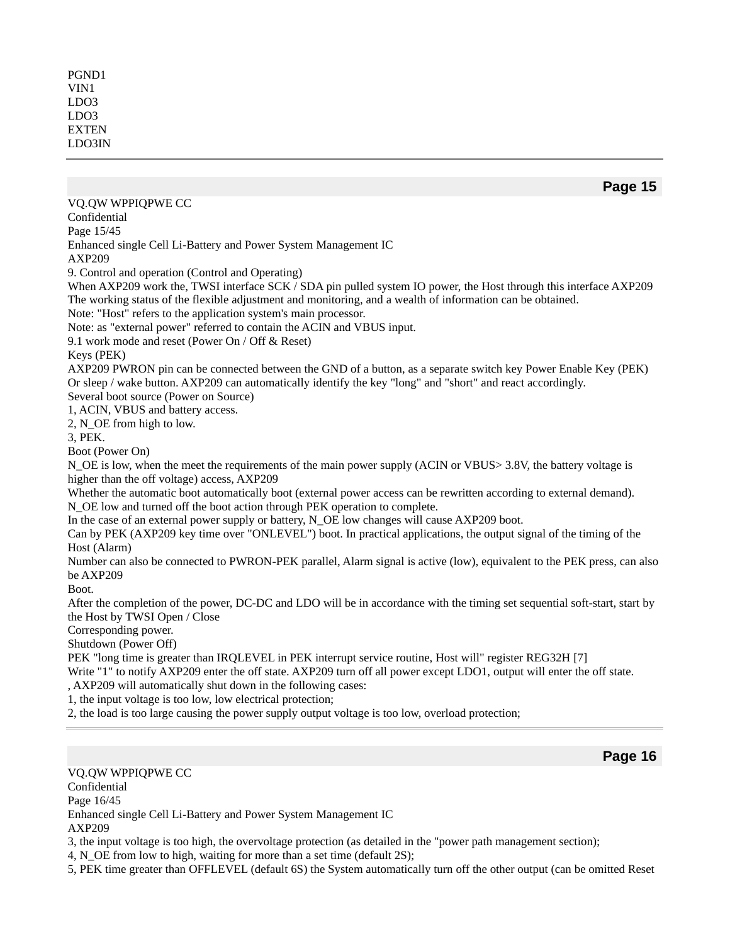| PGND <sub>1</sub> |
|-------------------|
| VIN1              |
| LDO3              |
| LDO3              |
| <b>EXTEN</b>      |
| LDO3IN            |

Shutdown (Power Off)

Boot.

PEK "long time is greater than IRQLEVEL in PEK interrupt service routine, Host will" register REG32H [7]

Write "1" to notify AXP209 enter the off state. AXP209 turn off all power except LDO1, output will enter the off state. , AXP209 will automatically shut down in the following cases:

1, the input voltage is too low, low electrical protection;

2, the load is too large causing the power supply output voltage is too low, overload protection;

## **Page 16**

VQ.QW WPPIQPWE CC

Confidential

Page 16/45

Enhanced single Cell Li-Battery and Power System Management IC

AXP209

3, the input voltage is too high, the overvoltage protection (as detailed in the "power path management section);

4, N\_OE from low to high, waiting for more than a set time (default 2S);

5, PEK time greater than OFFLEVEL (default 6S) the System automatically turn off the other output (can be omitted Reset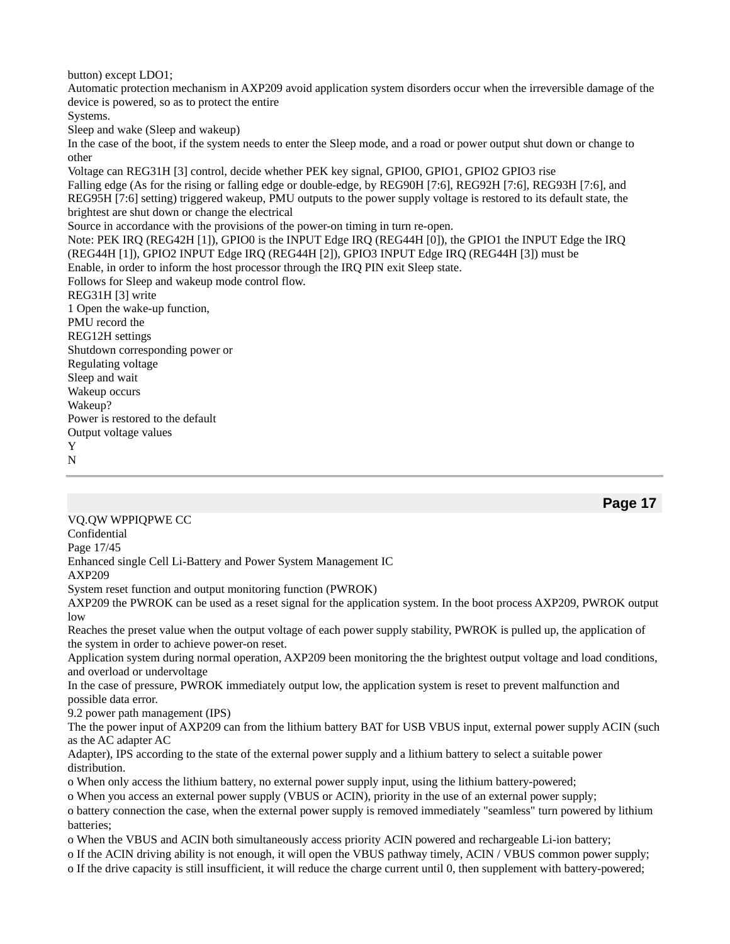button) except LDO1;

Automatic protection mechanism in AXP209 avoid application system disorders occur when the irreversible damage of the device is powered, so as to protect the entire

Systems.

Sleep and wake (Sleep and wakeup)

In the case of the boot, if the system needs to enter the Sleep mode, and a road or power output shut down or change to other

Voltage can REG31H [3] control, decide whether PEK key signal, GPIO0, GPIO1, GPIO2 GPIO3 rise Falling edge (As for the rising or falling edge or double-edge, by REG90H [7:6], REG92H [7:6], REG93H [7:6], and REG95H [7:6] setting) triggered wakeup, PMU outputs to the power supply voltage is restored to its default state, the brightest are shut down or change the electrical

Source in accordance with the provisions of the power-on timing in turn re-open.

Note: PEK IRQ (REG42H [1]), GPIO0 is the INPUT Edge IRQ (REG44H [0]), the GPIO1 the INPUT Edge the IRQ (REG44H [1]), GPIO2 INPUT Edge IRQ (REG44H [2]), GPIO3 INPUT Edge IRQ (REG44H [3]) must be Enable, in order to inform the host processor through the IRQ PIN exit Sleep state.

Follows for Sleep and wakeup mode control flow.

REG31H [3] write 1 Open the wake-up function, PMU record the REG12H settings Shutdown corresponding power or Regulating voltage Sleep and wait Wakeup occurs Wakeup? Power is restored to the default Output voltage values Y

N

VQ.QW WPPIQPWE CC Confidential Page 17/45 Enhanced single Cell Li-Battery and Power System Management IC AXP209 System reset function and output monitoring function (PWROK) AXP209 the PWROK can be used as a reset signal for the application system. In the boot process AXP209, PWROK output low Reaches the preset value when the output voltage of each power supply stability, PWROK is pulled up, the application of the system in order to achieve power-on reset. Application system during normal operation, AXP209 been monitoring the the brightest output voltage and load conditions, and overload or undervoltage In the case of pressure, PWROK immediately output low, the application system is reset to prevent malfunction and possible data error. 9.2 power path management (IPS) The the power input of AXP209 can from the lithium battery BAT for USB VBUS input, external power supply ACIN (such as the AC adapter AC Adapter), IPS according to the state of the external power supply and a lithium battery to select a suitable power distribution. o When only access the lithium battery, no external power supply input, using the lithium battery-powered; o When you access an external power supply (VBUS or ACIN), priority in the use of an external power supply; o battery connection the case, when the external power supply is removed immediately "seamless" turn powered by lithium batteries; o When the VBUS and ACIN both simultaneously access priority ACIN powered and rechargeable Li-ion battery; o If the ACIN driving ability is not enough, it will open the VBUS pathway timely, ACIN / VBUS common power supply; o If the drive capacity is still insufficient, it will reduce the charge current until 0, then supplement with battery-powered;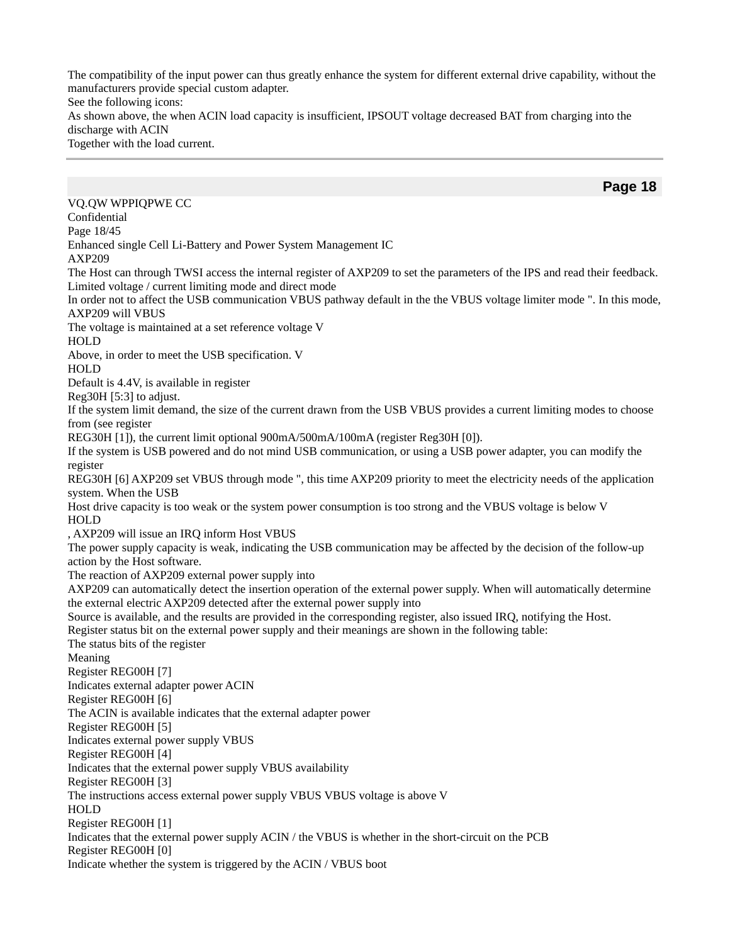The compatibility of the input power can thus greatly enhance the system for different external drive capability, without the manufacturers provide special custom adapter.

See the following icons:

As shown above, the when ACIN load capacity is insufficient, IPSOUT voltage decreased BAT from charging into the discharge with ACIN

Together with the load current.

**Page 18** VQ.QW WPPIQPWE CC Confidential Page 18/45 Enhanced single Cell Li-Battery and Power System Management IC AXP209 The Host can through TWSI access the internal register of AXP209 to set the parameters of the IPS and read their feedback. Limited voltage / current limiting mode and direct mode In order not to affect the USB communication VBUS pathway default in the the VBUS voltage limiter mode ". In this mode, AXP209 will VBUS The voltage is maintained at a set reference voltage V HOLD Above, in order to meet the USB specification. V HOLD Default is 4.4V, is available in register Reg30H [5:3] to adjust. If the system limit demand, the size of the current drawn from the USB VBUS provides a current limiting modes to choose from (see register REG30H [1]), the current limit optional 900mA/500mA/100mA (register Reg30H [0]). If the system is USB powered and do not mind USB communication, or using a USB power adapter, you can modify the register REG30H [6] AXP209 set VBUS through mode ", this time AXP209 priority to meet the electricity needs of the application system. When the USB Host drive capacity is too weak or the system power consumption is too strong and the VBUS voltage is below V HOLD , AXP209 will issue an IRQ inform Host VBUS The power supply capacity is weak, indicating the USB communication may be affected by the decision of the follow-up action by the Host software. The reaction of AXP209 external power supply into AXP209 can automatically detect the insertion operation of the external power supply. When will automatically determine the external electric AXP209 detected after the external power supply into Source is available, and the results are provided in the corresponding register, also issued IRQ, notifying the Host. Register status bit on the external power supply and their meanings are shown in the following table: The status bits of the register Meaning Register REG00H [7] Indicates external adapter power ACIN Register REG00H [6] The ACIN is available indicates that the external adapter power Register REG00H [5] Indicates external power supply VBUS Register REG00H [4] Indicates that the external power supply VBUS availability Register REG00H [3] The instructions access external power supply VBUS VBUS voltage is above V HOLD Register REG00H [1] Indicates that the external power supply ACIN / the VBUS is whether in the short-circuit on the PCB Register REG00H [0] Indicate whether the system is triggered by the ACIN / VBUS boot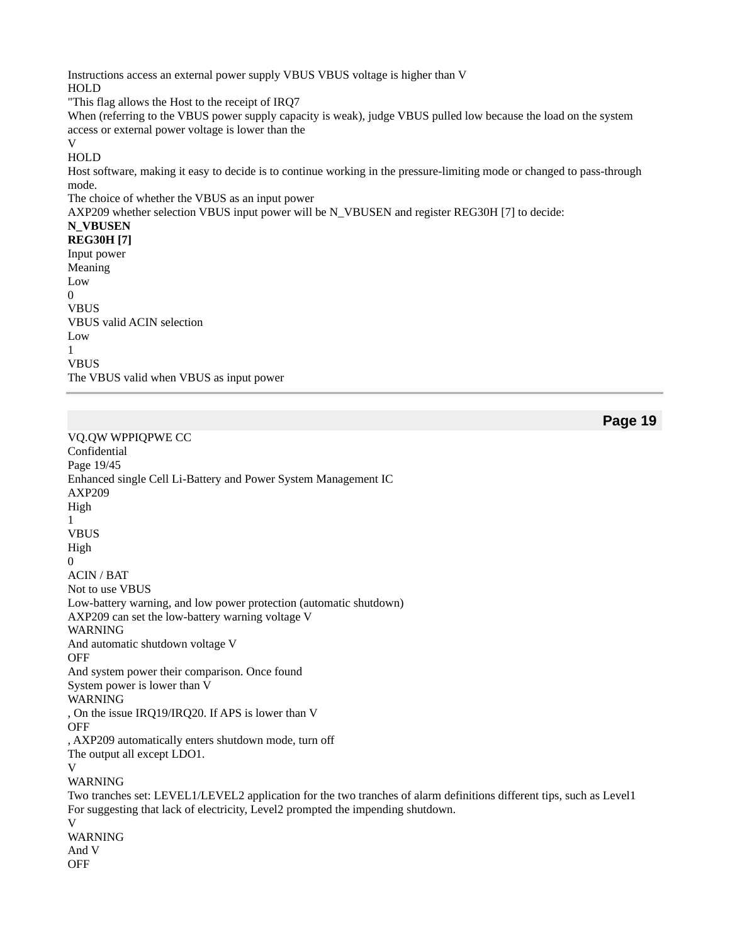Instructions access an external power supply VBUS VBUS voltage is higher than V

HOLD

"This flag allows the Host to the receipt of IRQ7

When (referring to the VBUS power supply capacity is weak), judge VBUS pulled low because the load on the system access or external power voltage is lower than the

V

HOLD

Host software, making it easy to decide is to continue working in the pressure-limiting mode or changed to pass-through mode.

The choice of whether the VBUS as an input power

AXP209 whether selection VBUS input power will be N\_VBUSEN and register REG30H [7] to decide:

## **N\_VBUSEN**

**REG30H [7]** Input power Meaning Low 0 VBUS VBUS valid ACIN selection Low 1 VBUS The VBUS valid when VBUS as input power

**Page 19**

VQ.QW WPPIQPWE CC Confidential Page 19/45 Enhanced single Cell Li-Battery and Power System Management IC AXP209 High 1 VBUS High 0 ACIN / BAT Not to use VBUS Low-battery warning, and low power protection (automatic shutdown) AXP209 can set the low-battery warning voltage V WARNING And automatic shutdown voltage V **OFF** And system power their comparison. Once found System power is lower than V WARNING , On the issue IRQ19/IRQ20. If APS is lower than V **OFF** , AXP209 automatically enters shutdown mode, turn off The output all except LDO1. V WARNING Two tranches set: LEVEL1/LEVEL2 application for the two tranches of alarm definitions different tips, such as Level1 For suggesting that lack of electricity, Level2 prompted the impending shutdown. V WARNING And V **OFF**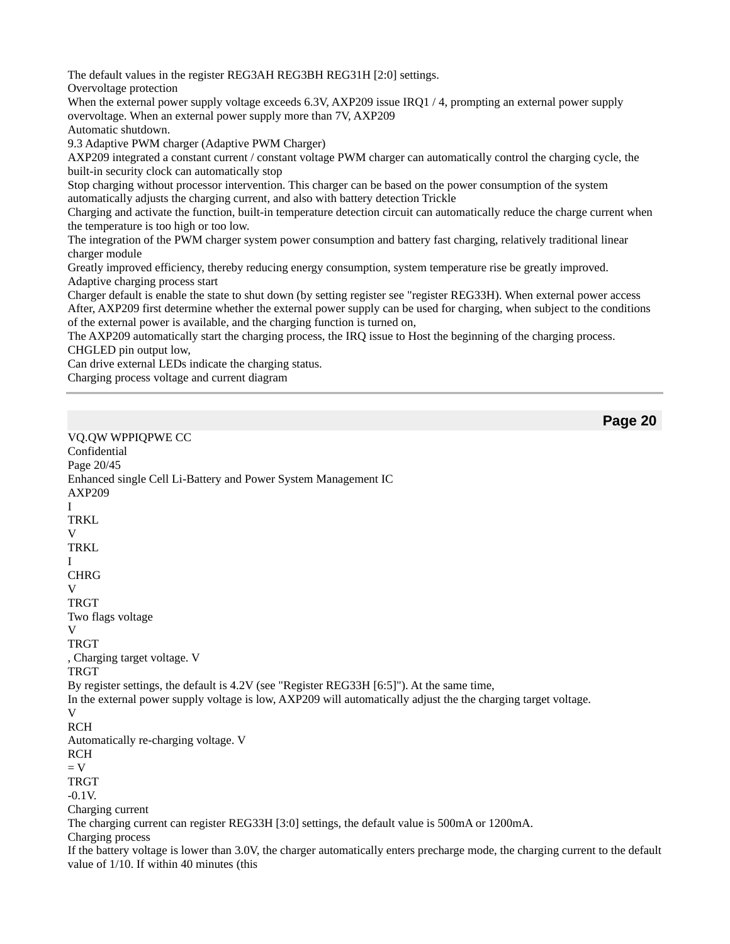The default values in the register REG3AH REG3BH REG31H [2:0] settings.

Overvoltage protection

When the external power supply voltage exceeds 6.3V, AXP209 issue IRQ1 / 4, prompting an external power supply overvoltage. When an external power supply more than 7V, AXP209

Automatic shutdown.

9.3 Adaptive PWM charger (Adaptive PWM Charger)

AXP209 integrated a constant current / constant voltage PWM charger can automatically control the charging cycle, the built-in security clock can automatically stop

Stop charging without processor intervention. This charger can be based on the power consumption of the system automatically adjusts the charging current, and also with battery detection Trickle

Charging and activate the function, built-in temperature detection circuit can automatically reduce the charge current when the temperature is too high or too low.

The integration of the PWM charger system power consumption and battery fast charging, relatively traditional linear charger module

Greatly improved efficiency, thereby reducing energy consumption, system temperature rise be greatly improved. Adaptive charging process start

Charger default is enable the state to shut down (by setting register see "register REG33H). When external power access After, AXP209 first determine whether the external power supply can be used for charging, when subject to the conditions of the external power is available, and the charging function is turned on,

The AXP209 automatically start the charging process, the IRQ issue to Host the beginning of the charging process. CHGLED pin output low,

Can drive external LEDs indicate the charging status.

Charging process voltage and current diagram

**Page 20**

VQ.QW WPPIQPWE CC Confidential Page 20/45 Enhanced single Cell Li-Battery and Power System Management IC AXP209 I **TRKL** V **TRKL** I CHRG  $V$ TRGT Two flags voltage V TRGT , Charging target voltage. V TRGT By register settings, the default is 4.2V (see "Register REG33H [6:5]"). At the same time, In the external power supply voltage is low, AXP209 will automatically adjust the the charging target voltage. V RCH Automatically re-charging voltage. V RCH  $= V$ TRGT -0.1V. Charging current The charging current can register REG33H [3:0] settings, the default value is 500mA or 1200mA. Charging process If the battery voltage is lower than 3.0V, the charger automatically enters precharge mode, the charging current to the default value of 1/10. If within 40 minutes (this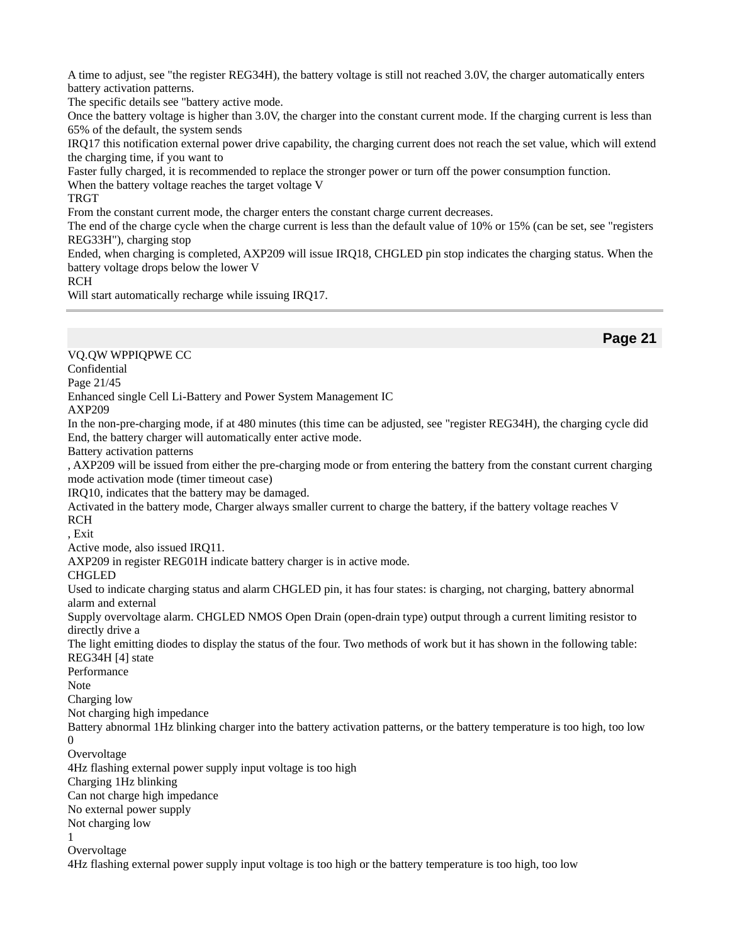A time to adjust, see "the register REG34H), the battery voltage is still not reached 3.0V, the charger automatically enters battery activation patterns.

The specific details see "battery active mode.

Once the battery voltage is higher than 3.0V, the charger into the constant current mode. If the charging current is less than 65% of the default, the system sends

IRQ17 this notification external power drive capability, the charging current does not reach the set value, which will extend the charging time, if you want to

Faster fully charged, it is recommended to replace the stronger power or turn off the power consumption function.

When the battery voltage reaches the target voltage V

TRGT

From the constant current mode, the charger enters the constant charge current decreases.

The end of the charge cycle when the charge current is less than the default value of 10% or 15% (can be set, see "registers REG33H"), charging stop

Ended, when charging is completed, AXP209 will issue IRQ18, CHGLED pin stop indicates the charging status. When the battery voltage drops below the lower V

RCH

Will start automatically recharge while issuing IRQ17.

**Page 21**

VQ.QW WPPIQPWE CC Confidential Page 21/45 Enhanced single Cell Li-Battery and Power System Management IC AXP209 In the non-pre-charging mode, if at 480 minutes (this time can be adjusted, see "register REG34H), the charging cycle did End, the battery charger will automatically enter active mode. Battery activation patterns , AXP209 will be issued from either the pre-charging mode or from entering the battery from the constant current charging mode activation mode (timer timeout case) IRQ10, indicates that the battery may be damaged. Activated in the battery mode, Charger always smaller current to charge the battery, if the battery voltage reaches V RCH , Exit Active mode, also issued IRQ11. AXP209 in register REG01H indicate battery charger is in active mode. **CHGLED** Used to indicate charging status and alarm CHGLED pin, it has four states: is charging, not charging, battery abnormal alarm and external Supply overvoltage alarm. CHGLED NMOS Open Drain (open-drain type) output through a current limiting resistor to directly drive a The light emitting diodes to display the status of the four. Two methods of work but it has shown in the following table: REG34H [4] state Performance Note Charging low Not charging high impedance Battery abnormal 1Hz blinking charger into the battery activation patterns, or the battery temperature is too high, too low  $\Omega$ **Overvoltage** 4Hz flashing external power supply input voltage is too high Charging 1Hz blinking Can not charge high impedance No external power supply Not charging low 1 **Overvoltage** 4Hz flashing external power supply input voltage is too high or the battery temperature is too high, too low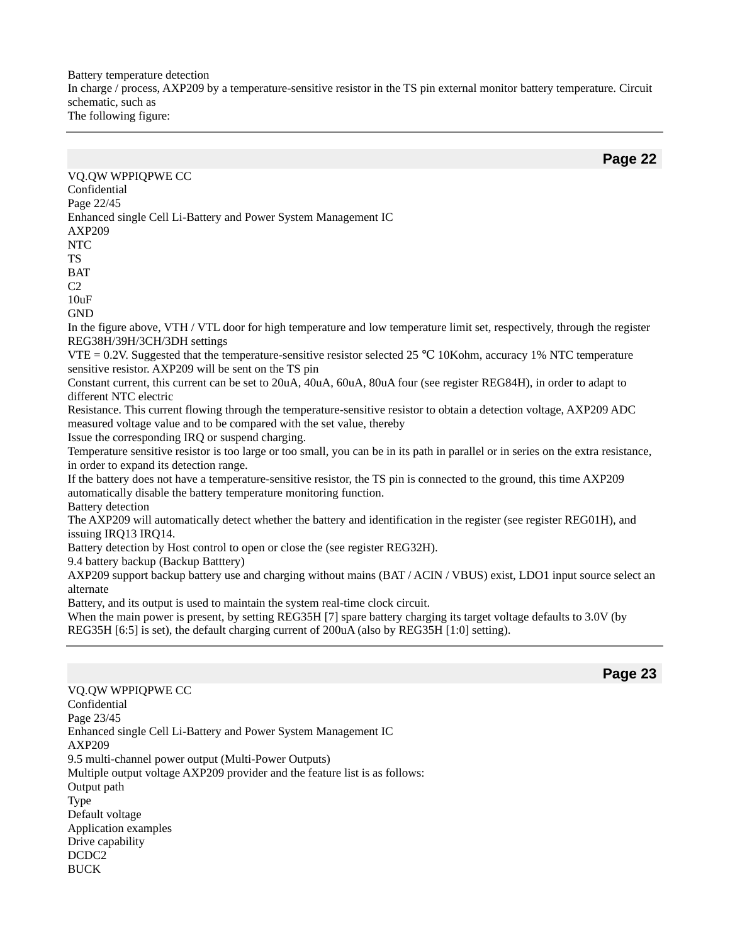Battery temperature detection In charge / process, AXP209 by a temperature-sensitive resistor in the TS pin external monitor battery temperature. Circuit schematic, such as The following figure:

VQ.QW WPPIQPWE CC

| Confidential                                                                                                                                   |
|------------------------------------------------------------------------------------------------------------------------------------------------|
| Page 22/45                                                                                                                                     |
| Enhanced single Cell Li-Battery and Power System Management IC                                                                                 |
| <b>AXP209</b>                                                                                                                                  |
| <b>NTC</b>                                                                                                                                     |
| <b>TS</b>                                                                                                                                      |
| <b>BAT</b>                                                                                                                                     |
|                                                                                                                                                |
| C <sub>2</sub>                                                                                                                                 |
| 10uF                                                                                                                                           |
| <b>GND</b>                                                                                                                                     |
| In the figure above, VTH / VTL door for high temperature and low temperature limit set, respectively, through the register                     |
| REG38H/39H/3CH/3DH settings                                                                                                                    |
| VTE = 0.2V. Suggested that the temperature-sensitive resistor selected 25 $^{\circ}$ C 10Kohm, accuracy 1% NTC temperature                     |
| sensitive resistor. AXP209 will be sent on the TS pin                                                                                          |
| Constant current, this current can be set to 20uA, 40uA, 60uA, 80uA four (see register REG84H), in order to adapt to<br>different NTC electric |
|                                                                                                                                                |
| Resistance. This current flowing through the temperature-sensitive resistor to obtain a detection voltage, AXP209 ADC                          |
| measured voltage value and to be compared with the set value, thereby                                                                          |
| Issue the corresponding IRQ or suspend charging.                                                                                               |
| Temperature sensitive resistor is too large or too small, you can be in its path in parallel or in series on the extra resistance,             |
| in order to expand its detection range.                                                                                                        |
| If the battery does not have a temperature-sensitive resistor, the TS pin is connected to the ground, this time AXP209                         |
| automatically disable the battery temperature monitoring function.                                                                             |
| <b>Battery detection</b>                                                                                                                       |
| The AXP209 will automatically detect whether the battery and identification in the register (see register REG01H), and                         |
| issuing IRQ13 IRQ14.                                                                                                                           |
| Battery detection by Host control to open or close the (see register REG32H).                                                                  |
|                                                                                                                                                |
| 9.4 battery backup (Backup Batttery)                                                                                                           |
| AXP209 support backup battery use and charging without mains (BAT / ACIN / VBUS) exist, LDO1 input source select an                            |
| alternate                                                                                                                                      |
| Battery, and its output is used to maintain the system real-time clock circuit.                                                                |
| When the main power is present, by setting REG35H [7] spare battery charging its target voltage defaults to 3.0V (by                           |
| REG35H [6:5] is set), the default charging current of 200uA (also by REG35H [1:0] setting).                                                    |
|                                                                                                                                                |
|                                                                                                                                                |
| Page 23                                                                                                                                        |
| VQ.QW WPPIQPWE CC                                                                                                                              |
| Confidential                                                                                                                                   |
| Page 23/45                                                                                                                                     |
| Enhanced single Cell Li-Battery and Power System Management IC                                                                                 |
| <b>AXP209</b>                                                                                                                                  |
| 9.5 multi-channel power output (Multi-Power Outputs)                                                                                           |
| Multiple output voltage AXP209 provider and the feature list is as follows:                                                                    |
|                                                                                                                                                |
| Output path                                                                                                                                    |
| <b>Type</b>                                                                                                                                    |
| Default voltage                                                                                                                                |
| Application examples                                                                                                                           |
| Drive capability                                                                                                                               |
| DCDC2                                                                                                                                          |
| <b>BUCK</b>                                                                                                                                    |
|                                                                                                                                                |
|                                                                                                                                                |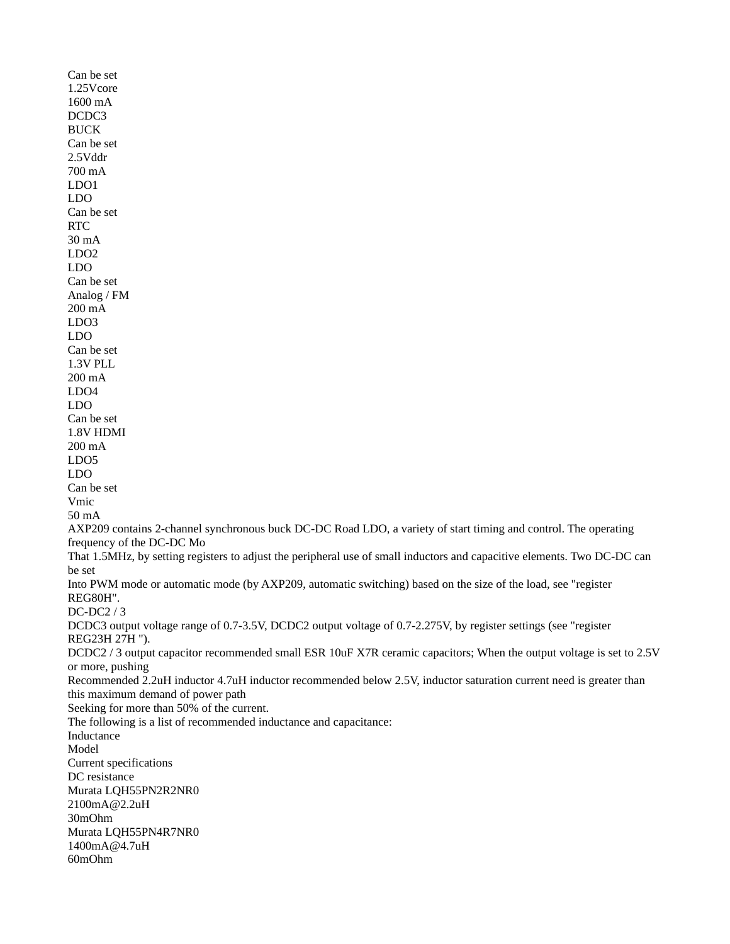Can be set 1.25Vcore 1600 mA DCDC3 BUCK Can be set 2.5Vddr 700 mA LDO1 LDO Can be set RTC 30 mA LDO2 LDO Can be set Analog / FM 200 mA LDO3 LDO Can be set 1.3V PLL 200 mA LDO4 LDO Can be set 1.8V HDMI 200 mA LDO5 LDO Can be set Vmic 50 mA AXP209 contains 2-channel synchronous buck DC-DC Road LDO, a variety of start timing and control. The operating frequency of the DC-DC Mo That 1.5MHz, by setting registers to adjust the peripheral use of small inductors and capacitive elements. Two DC-DC can be set Into PWM mode or automatic mode (by AXP209, automatic switching) based on the size of the load, see "register REG80H". DC-DC2 / 3 DCDC3 output voltage range of 0.7-3.5V, DCDC2 output voltage of 0.7-2.275V, by register settings (see "register REG23H 27H "). DCDC2 / 3 output capacitor recommended small ESR 10uF X7R ceramic capacitors; When the output voltage is set to 2.5V or more, pushing Recommended 2.2uH inductor 4.7uH inductor recommended below 2.5V, inductor saturation current need is greater than this maximum demand of power path Seeking for more than 50% of the current. The following is a list of recommended inductance and capacitance: Inductance Model Current specifications DC resistance Murata LQH55PN2R2NR0 2100mA@2.2uH 30mOhm Murata LQH55PN4R7NR0 1400mA@4.7uH 60mOhm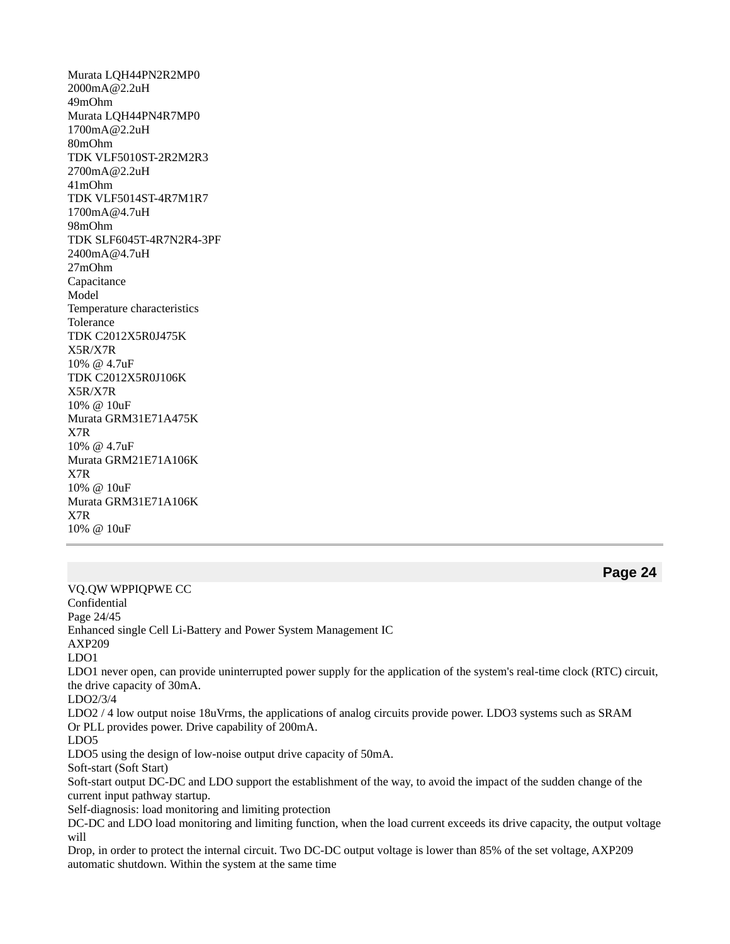Murata LQH44PN2R2MP0 2000mA@2.2uH 49mOhm Murata LQH44PN4R7MP0 1700mA@2.2uH 80mOhm TDK VLF5010ST-2R2M2R3 2700mA@2.2uH 41mOhm TDK VLF5014ST-4R7M1R7 1700mA@4.7uH 98mOhm TDK SLF6045T-4R7N2R4-3PF 2400mA@4.7uH 27mOhm Capacitance Model Temperature characteristics **Tolerance** TDK C2012X5R0J475K X5R/X7R 10% @ 4.7uF TDK C2012X5R0J106K X5R/X7R 10% @ 10uF Murata GRM31E71A475K X7R 10% @ 4.7uF Murata GRM21E71A106K X7R 10% @ 10uF Murata GRM31E71A106K X7R 10% @ 10uF

**Page 24**

VQ.QW WPPIQPWE CC Confidential Page 24/45 Enhanced single Cell Li-Battery and Power System Management IC AXP209 LDO1 LDO1 never open, can provide uninterrupted power supply for the application of the system's real-time clock (RTC) circuit, the drive capacity of 30mA. LDO2/3/4 LDO2 / 4 low output noise 18uVrms, the applications of analog circuits provide power. LDO3 systems such as SRAM Or PLL provides power. Drive capability of 200mA. LDO5 LDO5 using the design of low-noise output drive capacity of 50mA. Soft-start (Soft Start) Soft-start output DC-DC and LDO support the establishment of the way, to avoid the impact of the sudden change of the current input pathway startup. Self-diagnosis: load monitoring and limiting protection DC-DC and LDO load monitoring and limiting function, when the load current exceeds its drive capacity, the output voltage will Drop, in order to protect the internal circuit. Two DC-DC output voltage is lower than 85% of the set voltage, AXP209 automatic shutdown. Within the system at the same time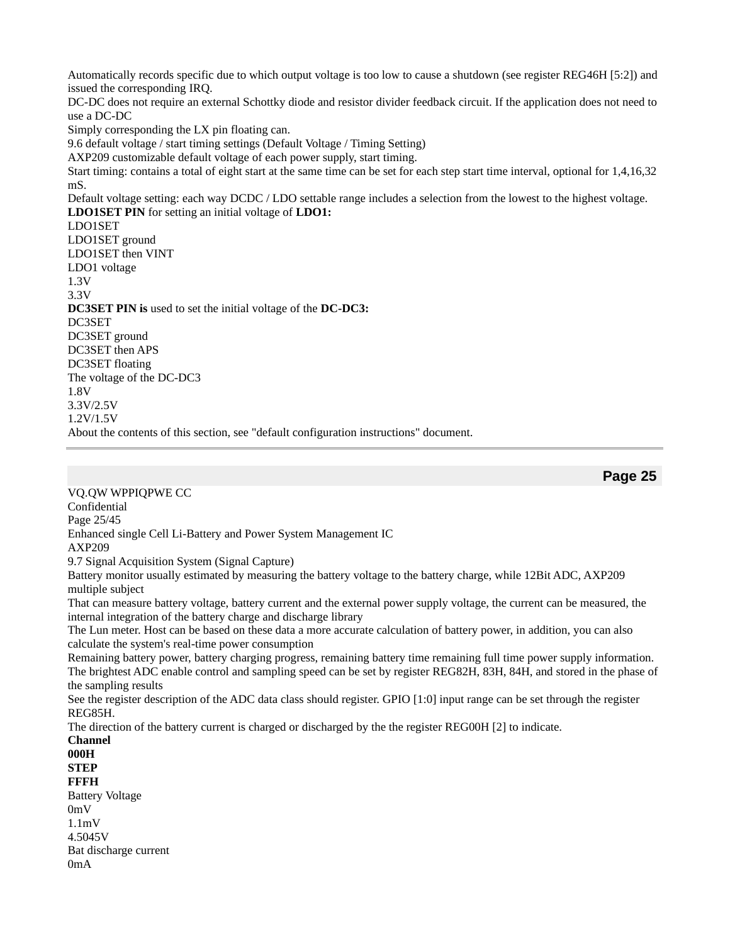Automatically records specific due to which output voltage is too low to cause a shutdown (see register REG46H [5:2]) and issued the corresponding IRQ.

DC-DC does not require an external Schottky diode and resistor divider feedback circuit. If the application does not need to use a DC-DC

Simply corresponding the LX pin floating can.

9.6 default voltage / start timing settings (Default Voltage / Timing Setting)

AXP209 customizable default voltage of each power supply, start timing.

Start timing: contains a total of eight start at the same time can be set for each step start time interval, optional for 1,4,16,32 mS.

Default voltage setting: each way DCDC / LDO settable range includes a selection from the lowest to the highest voltage. **LDO1SET PIN** for setting an initial voltage of **LDO1:**

LDO1SET LDO1SET ground LDO1SET then VINT LDO1 voltage 1.3V 3.3V **DC3SET PIN is** used to set the initial voltage of the **DC-DC3:** DC3SET DC3SET ground DC3SET then APS DC3SET floating The voltage of the DC-DC3 1.8V 3.3V/2.5V 1.2V/1.5V About the contents of this section, see "default configuration instructions" document.

VQ.QW WPPIQPWE CC Confidential Page 25/45 Enhanced single Cell Li-Battery and Power System Management IC AXP209 9.7 Signal Acquisition System (Signal Capture) Battery monitor usually estimated by measuring the battery voltage to the battery charge, while 12Bit ADC, AXP209 multiple subject That can measure battery voltage, battery current and the external power supply voltage, the current can be measured, the internal integration of the battery charge and discharge library The Lun meter. Host can be based on these data a more accurate calculation of battery power, in addition, you can also calculate the system's real-time power consumption Remaining battery power, battery charging progress, remaining battery time remaining full time power supply information. The brightest ADC enable control and sampling speed can be set by register REG82H, 83H, 84H, and stored in the phase of the sampling results See the register description of the ADC data class should register. GPIO [1:0] input range can be set through the register REG85H. The direction of the battery current is charged or discharged by the the register REG00H [2] to indicate. **Channel 000H STEP FFFH** Battery Voltage 0mV 1.1mV 4.5045V Bat discharge current

**Page 25**

0mA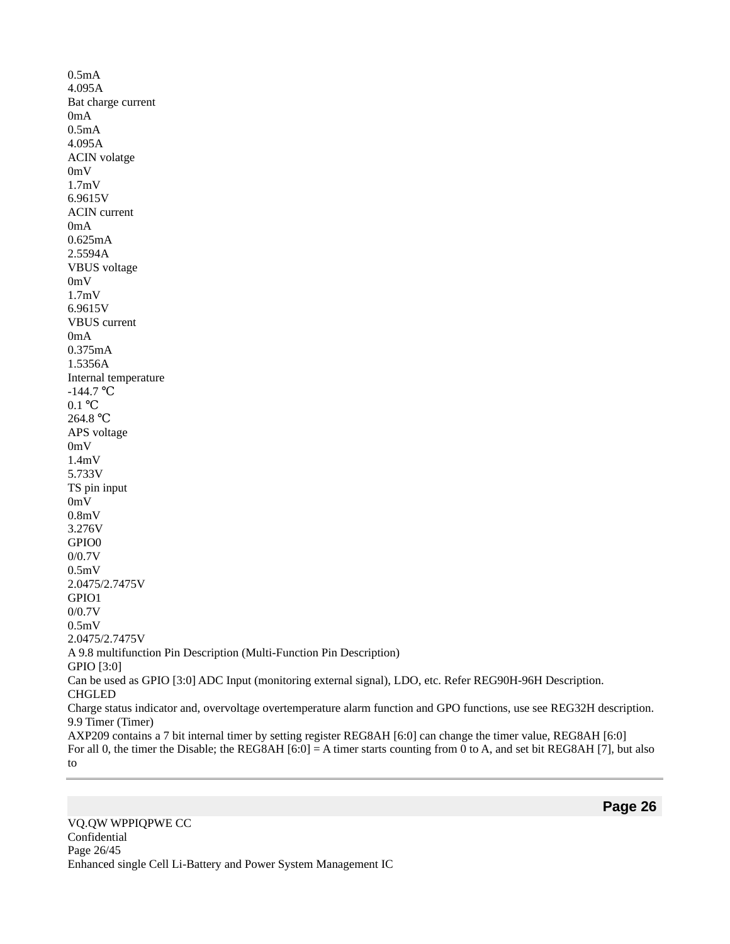0.5mA 4.095A Bat charge current 0mA 0.5mA 4.095A ACIN volatge 0mV 1.7mV 6.9615V ACIN current 0mA 0.625mA 2.5594A VBUS voltage 0mV 1.7mV 6.9615V VBUS current 0mA 0.375mA 1.5356A Internal temperature -144.7 ℃ 0.1 ℃ 264.8 ℃ APS voltage 0mV 1.4mV 5.733V TS pin input 0mV 0.8mV 3.276V GPIO0 0/0.7V 0.5mV 2.0475/2.7475V GPIO1 0/0.7V 0.5mV 2.0475/2.7475V A 9.8 multifunction Pin Description (Multi-Function Pin Description) GPIO [3:0] Can be used as GPIO [3:0] ADC Input (monitoring external signal), LDO, etc. Refer REG90H-96H Description. CHGLED Charge status indicator and, overvoltage overtemperature alarm function and GPO functions, use see REG32H description. 9.9 Timer (Timer) AXP209 contains a 7 bit internal timer by setting register REG8AH [6:0] can change the timer value, REG8AH [6:0] For all 0, the timer the Disable; the REG8AH [6:0] = A timer starts counting from 0 to A, and set bit REG8AH [7], but also to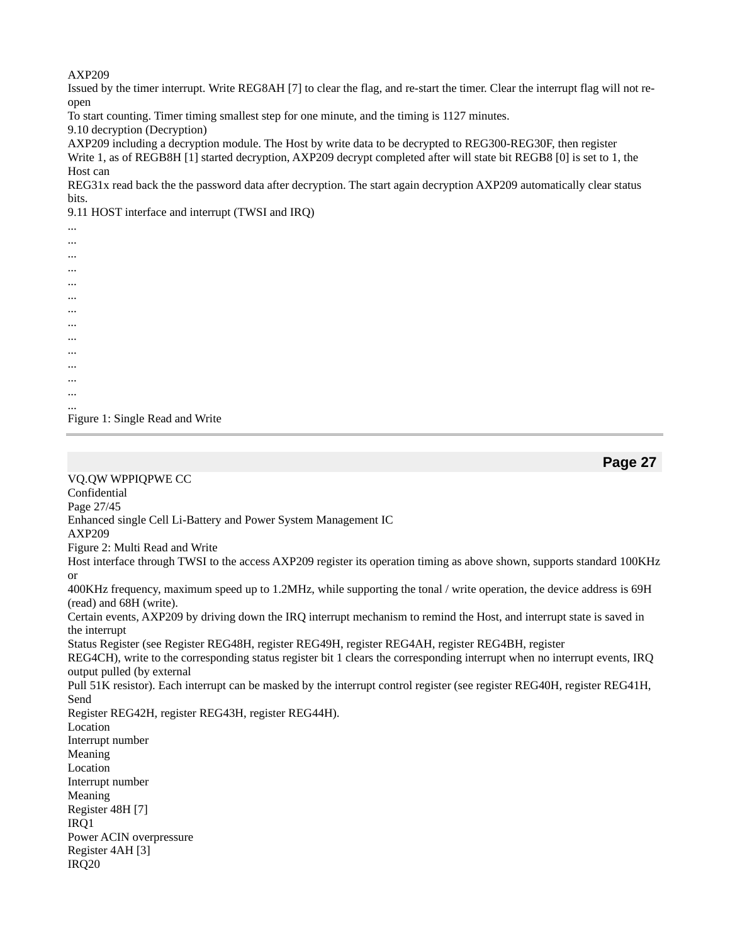AXP209

Issued by the timer interrupt. Write REG8AH [7] to clear the flag, and re-start the timer. Clear the interrupt flag will not reopen

To start counting. Timer timing smallest step for one minute, and the timing is 1127 minutes.

9.10 decryption (Decryption)

AXP209 including a decryption module. The Host by write data to be decrypted to REG300-REG30F, then register Write 1, as of REGB8H [1] started decryption, AXP209 decrypt completed after will state bit REGB8 [0] is set to 1, the Host can

REG31x read back the the password data after decryption. The start again decryption AXP209 automatically clear status bits.

9.11 HOST interface and interrupt (TWSI and IRQ)

| Figure 1: Single Read and Write |
|---------------------------------|

VQ.QW WPPIQPWE CC Confidential Page 27/45 Enhanced single Cell Li-Battery and Power System Management IC AXP209 Figure 2: Multi Read and Write Host interface through TWSI to the access AXP209 register its operation timing as above shown, supports standard 100KHz or 400KHz frequency, maximum speed up to 1.2MHz, while supporting the tonal / write operation, the device address is 69H (read) and 68H (write). Certain events, AXP209 by driving down the IRQ interrupt mechanism to remind the Host, and interrupt state is saved in the interrupt Status Register (see Register REG48H, register REG49H, register REG4AH, register REG4BH, register REG4CH), write to the corresponding status register bit 1 clears the corresponding interrupt when no interrupt events, IRQ output pulled (by external Pull 51K resistor). Each interrupt can be masked by the interrupt control register (see register REG40H, register REG41H, Send Register REG42H, register REG43H, register REG44H). Location Interrupt number Meaning Location Interrupt number Meaning Register 48H [7] IRQ1 Power ACIN overpressure Register 4AH [3] IRQ20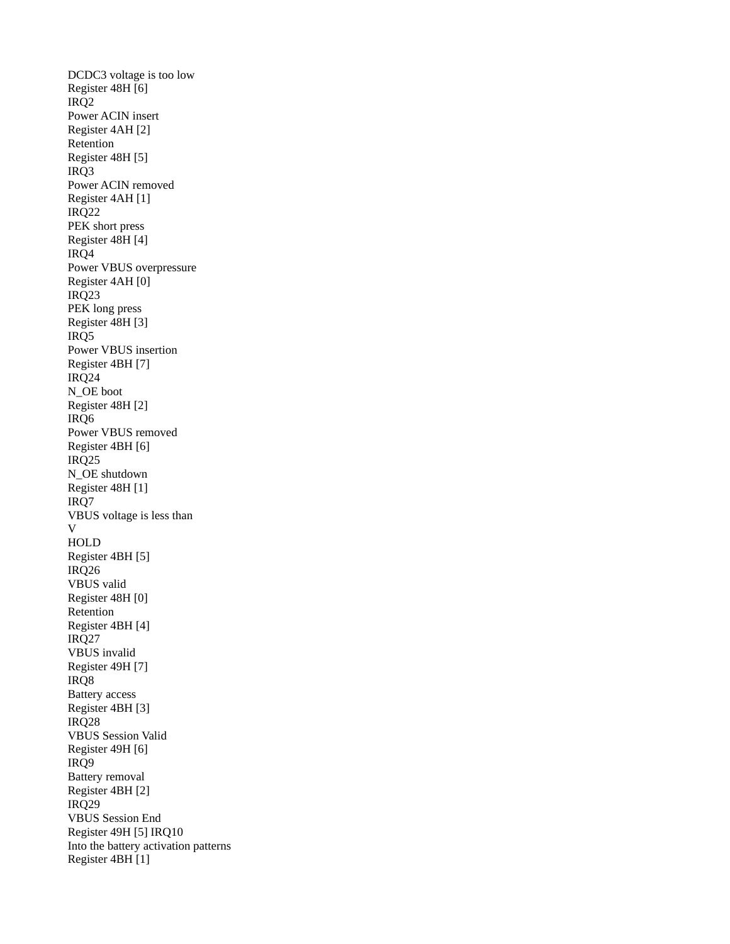DCDC3 voltage is too low Register 48H [6] IRQ2 Power ACIN insert Register 4AH [2] Retention Register 48H [5] IRQ3 Power ACIN removed Register 4AH [1] IRQ22 PEK short press Register 48H [4] IRQ4 Power VBUS overpressure Register 4AH [0] IRQ23 PEK long press Register 48H [3] IRQ5 Power VBUS insertion Register 4BH [7] IRQ24 N\_OE boot Register 48H [2] IRQ6 Power VBUS removed Register 4BH [6] IRQ25 N\_OE shutdown Register 48H [1] IRQ7 VBUS voltage is less than V HOLD Register 4BH [5] IRQ26 VBUS valid Register 48H [0] Retention Register 4BH [4] IRQ27 VBUS invalid Register 49H [7] IRQ8 Battery access Register 4BH [3] IRQ28 VBUS Session Valid Register 49H [6] IRQ9 Battery removal Register 4BH [2] IRQ29 VBUS Session End Register 49H [5] IRQ10 Into the battery activation patterns Register 4BH [1]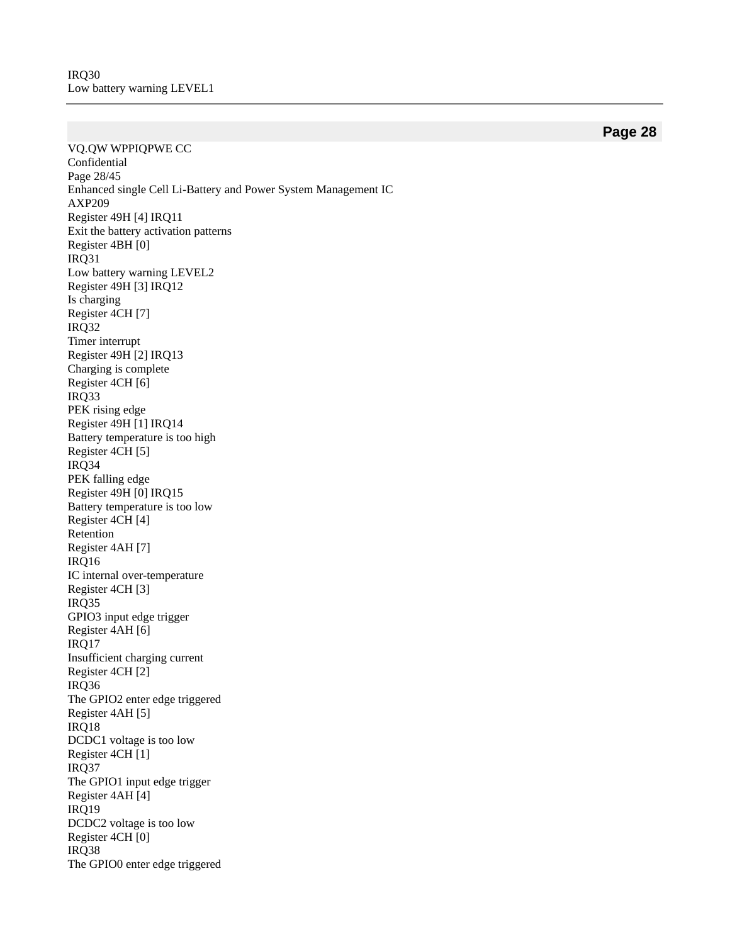VQ.QW WPPIQPWE CC Confidential Page 28/45 Enhanced single Cell Li-Battery and Power System Management IC AXP209 Register 49H [4] IRQ11 Exit the battery activation patterns Register 4BH [0] IRQ31 Low battery warning LEVEL2 Register 49H [3] IRQ12 Is charging Register 4CH [7] IRQ32 Timer interrupt Register 49H [2] IRQ13 Charging is complete Register 4CH [6] IRQ33 PEK rising edge Register 49H [1] IRQ14 Battery temperature is too high Register 4CH [5] IRQ34 PEK falling edge Register 49H [0] IRQ15 Battery temperature is too low Register 4CH [4] Retention Register 4AH [7] IRQ16 IC internal over-temperature Register 4CH [3] IRQ35 GPIO3 input edge trigger Register 4AH [6] IRQ17 Insufficient charging current Register 4CH [2] IRQ36 The GPIO2 enter edge triggered Register 4AH [5] IRQ18 DCDC1 voltage is too low Register 4CH [1] IRQ37 The GPIO1 input edge trigger Register 4AH [4] IRQ19 DCDC2 voltage is too low Register 4CH [0] IRQ38 The GPIO0 enter edge triggered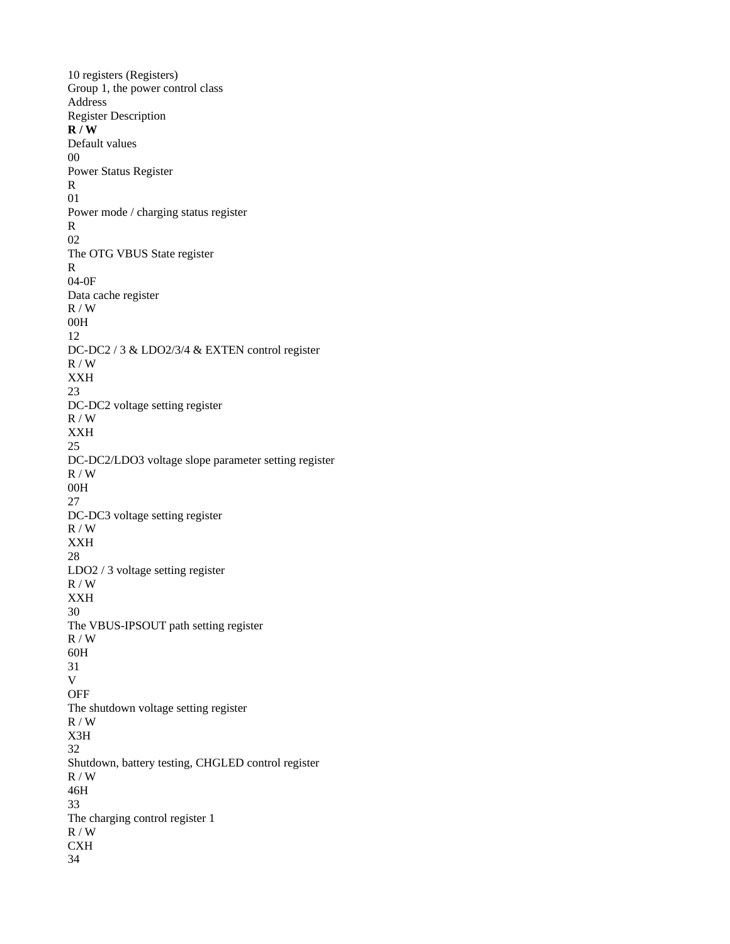10 registers (Registers) Group 1, the power control class Address Register Description **R / W** Default values 00 Power Status Register R 01 Power mode / charging status register R 02 The OTG VBUS State register R 04-0F Data cache register R / W 00H 12 DC-DC2 / 3 & LDO2/3/4 & EXTEN control register R / W XXH 23 DC-DC2 voltage setting register R / W XXH 25 DC-DC2/LDO3 voltage slope parameter setting register R / W 00H 27 DC-DC3 voltage setting register R / W XXH 28 LDO2 / 3 voltage setting register R / W XXH 30 The VBUS-IPSOUT path setting register R / W 60H 31 V **OFF** The shutdown voltage setting register R / W X3H 32 Shutdown, battery testing, CHGLED control register R / W 46H 33 The charging control register 1 R / W CXH 34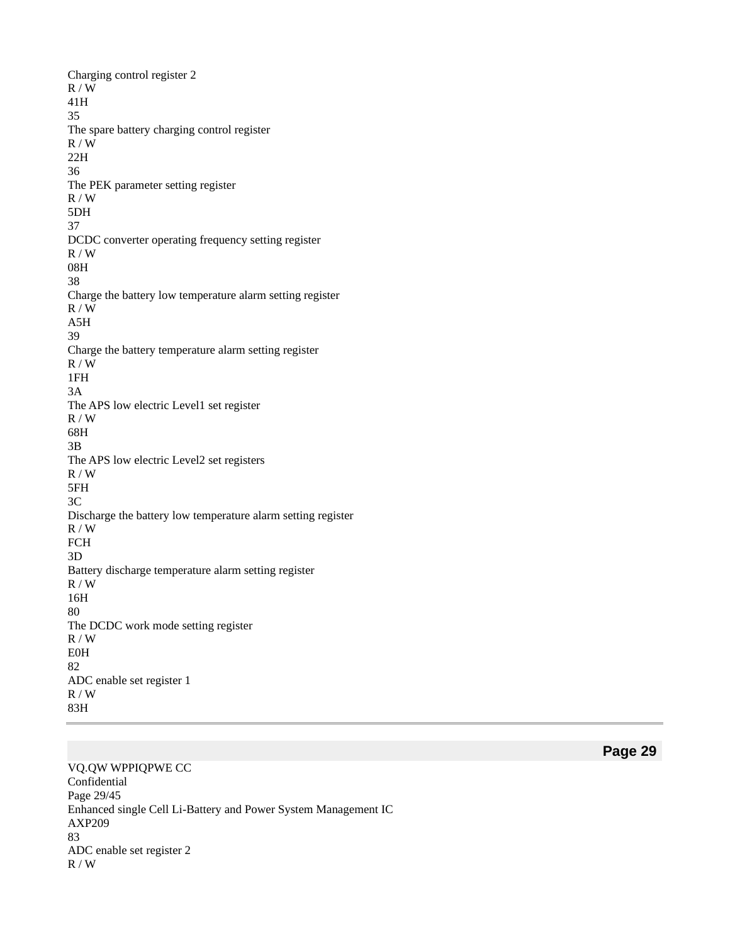Charging control register 2 R / W 41H 35 The spare battery charging control register R / W 22H 36 The PEK parameter setting register R / W 5DH 37 DCDC converter operating frequency setting register R / W 08H 38 Charge the battery low temperature alarm setting register R / W A5H 39 Charge the battery temperature alarm setting register R / W 1FH 3A The APS low electric Level1 set register R / W 68H 3B The APS low electric Level2 set registers R / W 5FH 3C Discharge the battery low temperature alarm setting register R / W FCH 3D Battery discharge temperature alarm setting register R / W 16H 80 The DCDC work mode setting register R / W E0H 82 ADC enable set register 1 R / W 83H

VQ.QW WPPIQPWE CC Confidential Page 29/45 Enhanced single Cell Li-Battery and Power System Management IC AXP209 83 ADC enable set register 2 R / W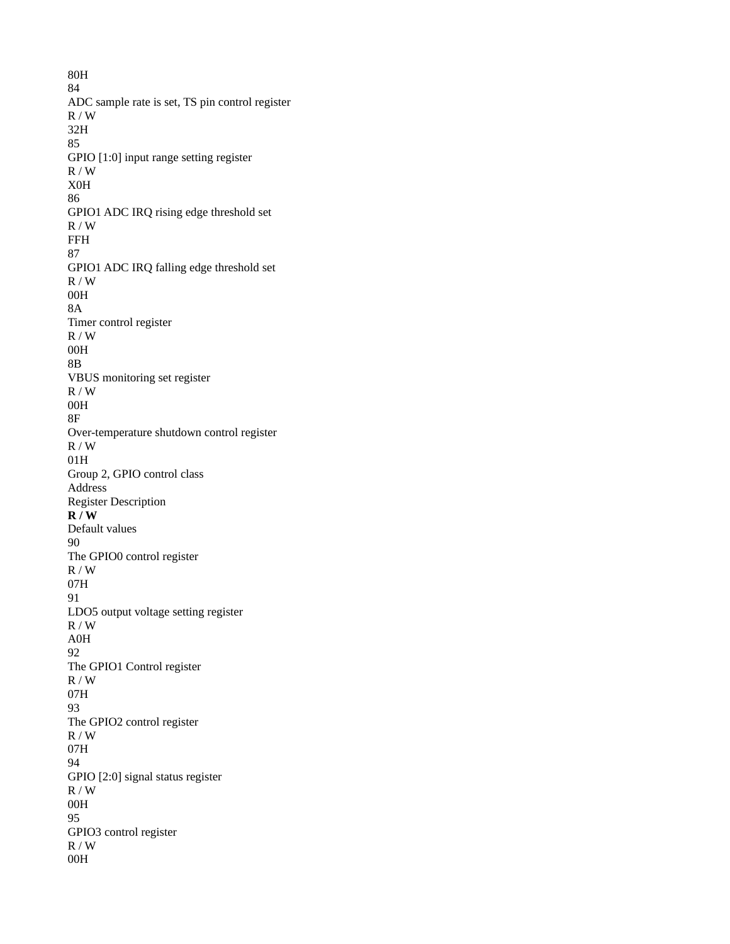80H 84 ADC sample rate is set, TS pin control register R / W 32H 85 GPIO [1:0] input range setting register R / W X0H 86 GPIO1 ADC IRQ rising edge threshold set R / W FFH 87 GPIO1 ADC IRQ falling edge threshold set R / W 00H 8A Timer control register R / W 00H 8B VBUS monitoring set register R / W 00H 8F Over-temperature shutdown control register R / W 01H Group 2, GPIO control class Address Register Description **R / W** Default values 90 The GPIO0 control register R / W 07H 91 LDO5 output voltage setting register R / W A0H 92 The GPIO1 Control register R / W 07H 93 The GPIO2 control register R / W 07H 94 GPIO [2:0] signal status register R / W 00H 95 GPIO3 control register R / W 00H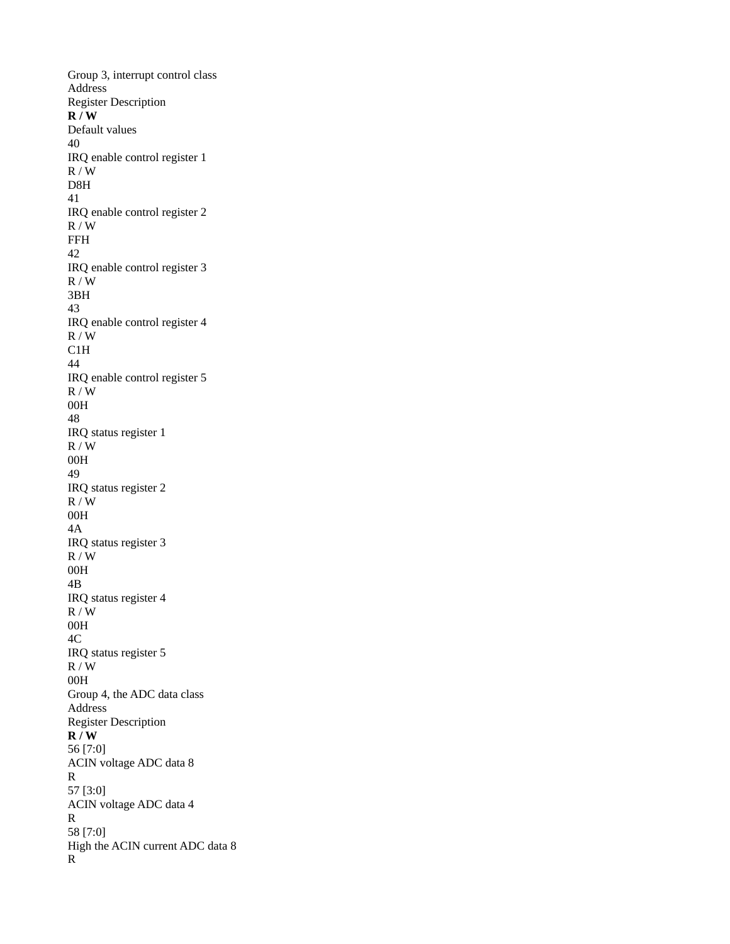Group 3, interrupt control class Address Register Description **R / W** Default values 40 IRQ enable control register 1  $\mathbf{R}$  /  $\mathbf{W}$ D8H 41 IRQ enable control register 2 R / W FFH 42 IRQ enable control register 3 R / W 3BH 43 IRQ enable control register 4 R / W C1H 44 IRQ enable control register 5 R / W 00H 48 IRQ status register 1 R / W 00H 49 IRQ status register 2 R / W 00H 4A IRQ status register 3 R / W 00H 4B IRQ status register 4 R / W 00H  $4C$ IRQ status register 5 R / W 00H Group 4, the ADC data class Address Register Description **R / W** 56 [7:0] ACIN voltage ADC data 8 R 57 [3:0] ACIN voltage ADC data 4 R 58 [7:0] High the ACIN current ADC data 8 R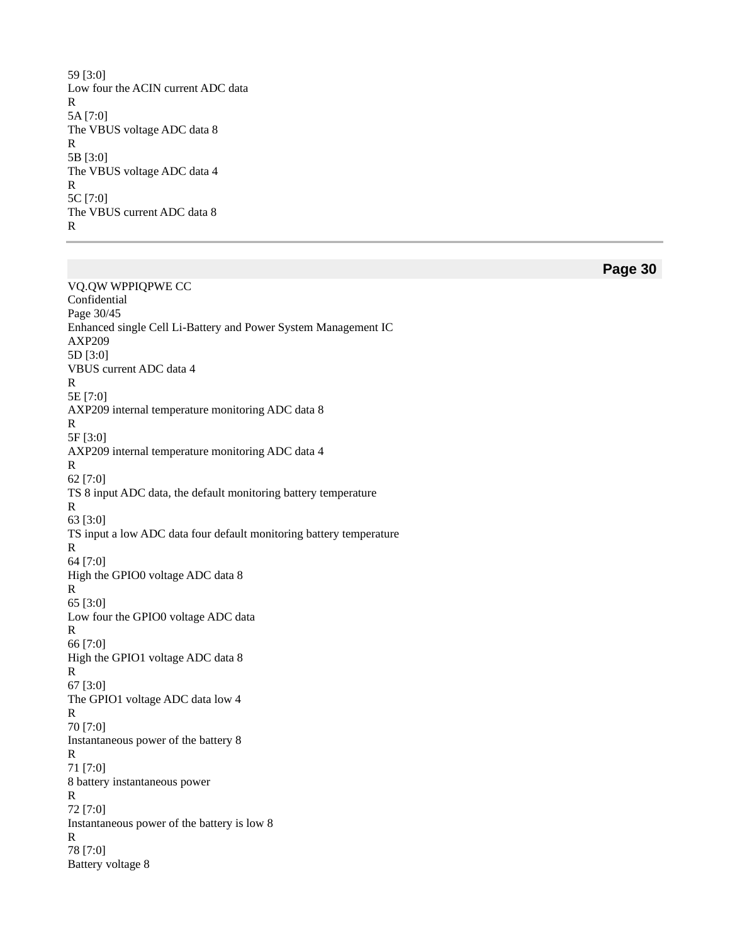59 [3:0] Low four the ACIN current ADC data R 5A [7:0] The VBUS voltage ADC data 8 R 5B [3:0] The VBUS voltage ADC data 4 R 5C [7:0] The VBUS current ADC data 8 R

**Page 30**

VQ.QW WPPIQPWE CC Confidential Page 30/45 Enhanced single Cell Li-Battery and Power System Management IC AXP209 5D [3:0] VBUS current ADC data 4 R 5E [7:0] AXP209 internal temperature monitoring ADC data 8 R 5F [3:0] AXP209 internal temperature monitoring ADC data 4 R 62 [7:0] TS 8 input ADC data, the default monitoring battery temperature R 63 [3:0] TS input a low ADC data four default monitoring battery temperature R 64 [7:0] High the GPIO0 voltage ADC data 8 R 65 [3:0] Low four the GPIO0 voltage ADC data R 66 [7:0] High the GPIO1 voltage ADC data 8 R 67 [3:0] The GPIO1 voltage ADC data low 4 R 70 [7:0] Instantaneous power of the battery 8 R 71 [7:0] 8 battery instantaneous power R 72 [7:0] Instantaneous power of the battery is low 8 R 78 [7:0] Battery voltage 8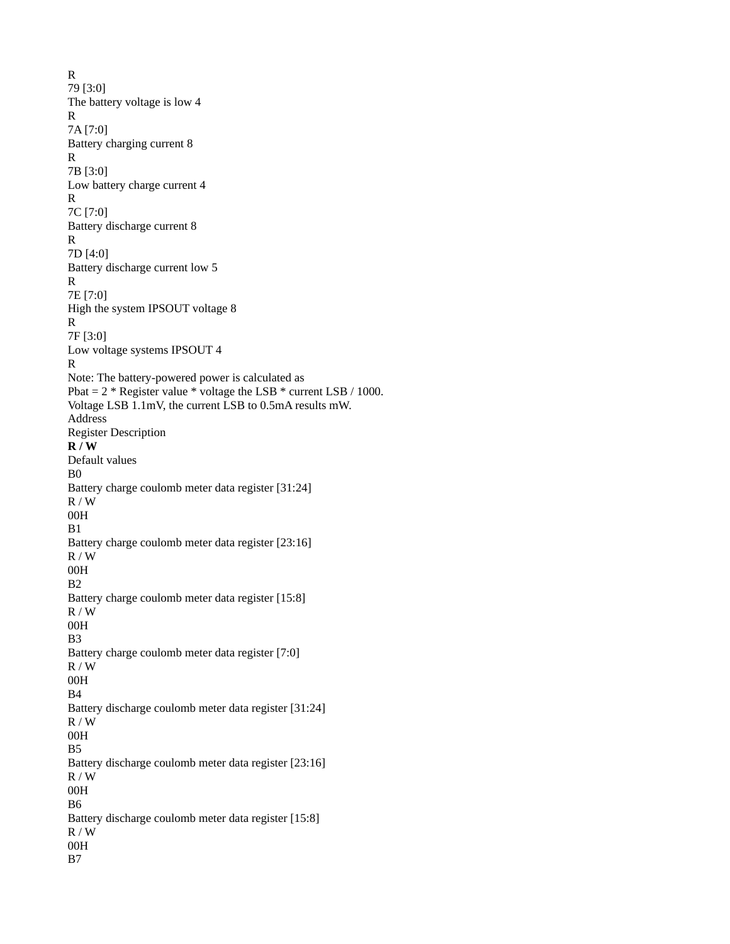R 79 [3:0] The battery voltage is low 4 R 7A [7:0] Battery charging current 8 R 7B [3:0] Low battery charge current 4 R 7C [7:0] Battery discharge current 8 R 7D [4:0] Battery discharge current low 5 R 7E [7:0] High the system IPSOUT voltage 8 R 7F [3:0] Low voltage systems IPSOUT 4 R Note: The battery-powered power is calculated as Pbat =  $2 *$  Register value  $*$  voltage the LSB  $*$  current LSB  $/$  1000. Voltage LSB 1.1mV, the current LSB to 0.5mA results mW. Address Register Description **R / W** Default values B0 Battery charge coulomb meter data register [31:24] R / W 00H B1 Battery charge coulomb meter data register [23:16] R / W 00H B2 Battery charge coulomb meter data register [15:8] R / W 00H B3 Battery charge coulomb meter data register [7:0] R / W 00H B4 Battery discharge coulomb meter data register [31:24] R / W 00H B5 Battery discharge coulomb meter data register [23:16] R / W 00H B6 Battery discharge coulomb meter data register [15:8] R / W 00H B7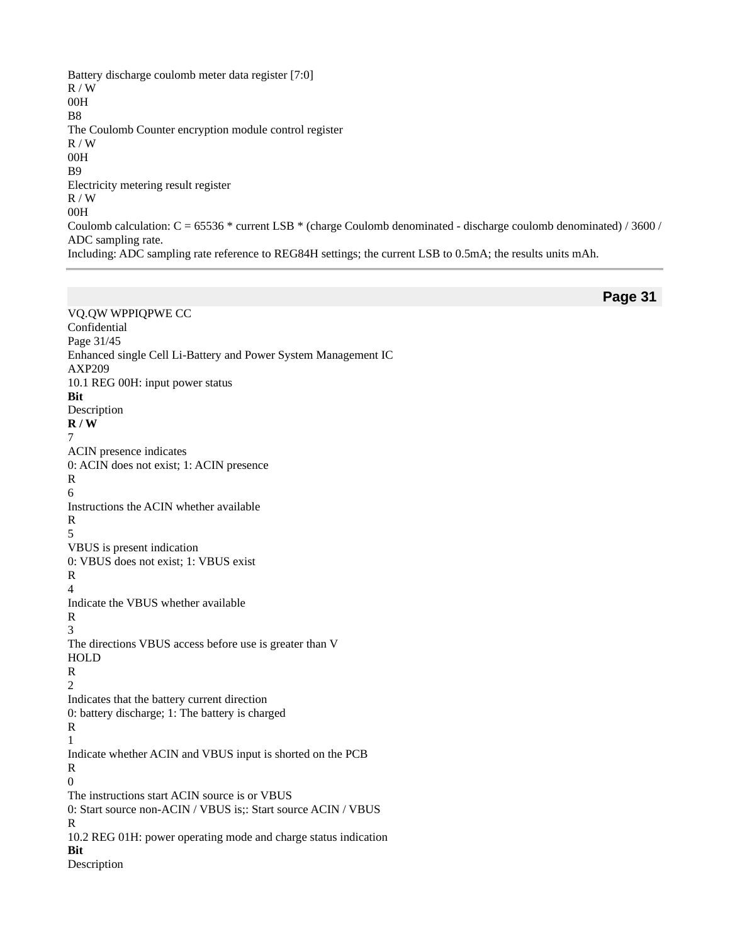Battery discharge coulomb meter data register [7:0] R / W 00H B8 The Coulomb Counter encryption module control register R / W 00H B9 Electricity metering result register R / W 00H Coulomb calculation:  $C = 65536 *$  current LSB  $*$  (charge Coulomb denominated - discharge coulomb denominated) / 3600 / ADC sampling rate. Including: ADC sampling rate reference to REG84H settings; the current LSB to 0.5mA; the results units mAh.

**Page 31**

```
VQ.QW WPPIQPWE CC 
Confidential 
Page 31/45 
Enhanced single Cell Li-Battery and Power System Management IC 
AXP209 
10.1 REG 00H: input power status 
Bit
Description 
R / W
7 
ACIN presence indicates 
0: ACIN does not exist; 1: ACIN presence 
R 
6 
Instructions the ACIN whether available 
R 
5 
VBUS is present indication 
0: VBUS does not exist; 1: VBUS exist 
R 
4 
Indicate the VBUS whether available 
R 
3 
The directions VBUS access before use is greater than V 
HOLD 
R 
2 
Indicates that the battery current direction 
0: battery discharge; 1: The battery is charged 
R 
1 
Indicate whether ACIN and VBUS input is shorted on the PCB 
R 
0 
The instructions start ACIN source is or VBUS 
0: Start source non-ACIN / VBUS is;: Start source ACIN / VBUS 
R 
10.2 REG 01H: power operating mode and charge status indication 
Bit
```
**Description**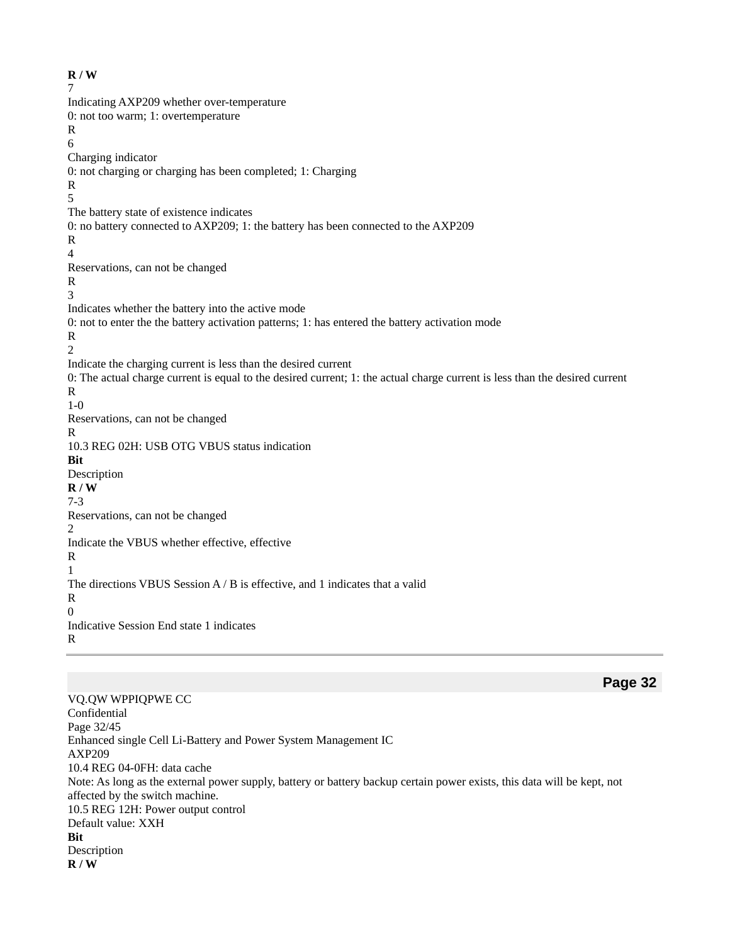**R / W** 7 Indicating AXP209 whether over-temperature 0: not too warm; 1: overtemperature R 6 Charging indicator 0: not charging or charging has been completed; 1: Charging R 5 The battery state of existence indicates 0: no battery connected to AXP209; 1: the battery has been connected to the AXP209 R 4 Reservations, can not be changed R 3 Indicates whether the battery into the active mode 0: not to enter the the battery activation patterns; 1: has entered the battery activation mode R 2 Indicate the charging current is less than the desired current 0: The actual charge current is equal to the desired current; 1: the actual charge current is less than the desired current R 1-0 Reservations, can not be changed R 10.3 REG 02H: USB OTG VBUS status indication **Bit Description R / W** 7-3 Reservations, can not be changed 2 Indicate the VBUS whether effective, effective R 1 The directions VBUS Session A / B is effective, and 1 indicates that a valid R 0 Indicative Session End state 1 indicates R

VQ.QW WPPIQPWE CC Confidential Page 32/45 Enhanced single Cell Li-Battery and Power System Management IC AXP209 10.4 REG 04-0FH: data cache Note: As long as the external power supply, battery or battery backup certain power exists, this data will be kept, not affected by the switch machine. 10.5 REG 12H: Power output control Default value: XXH **Bit** Description **R / W**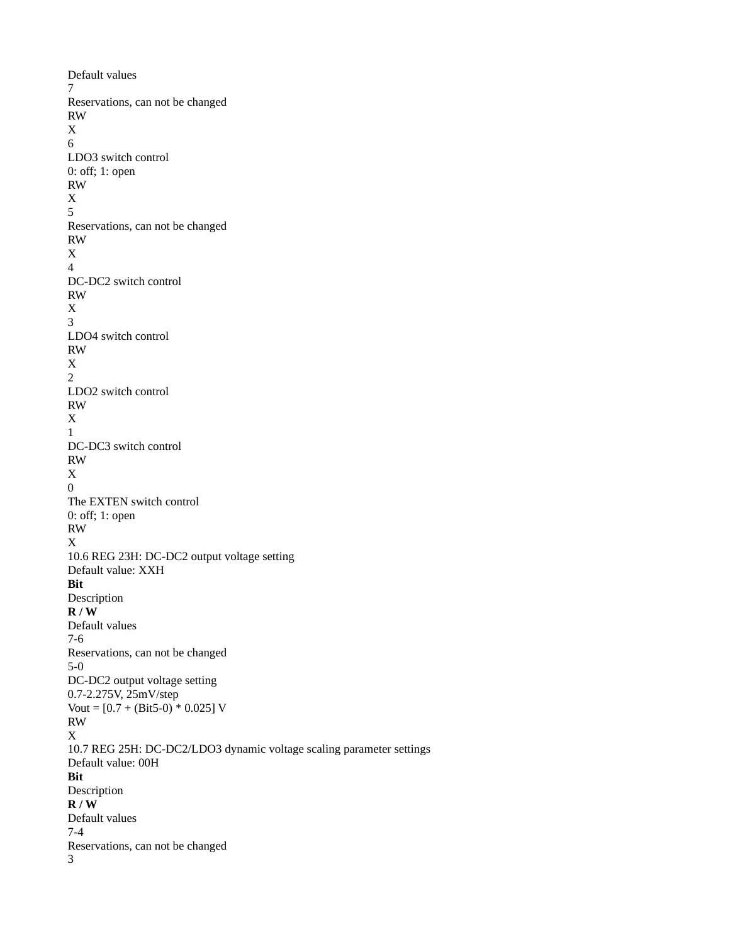Default values 7 Reservations, can not be changed RW X 6 LDO3 switch control 0: off; 1: open RW X 5 Reservations, can not be changed RW X 4 DC-DC2 switch control RW X 3 LDO4 switch control RW X 2 LDO2 switch control RW X 1 DC-DC3 switch control RW X 0 The EXTEN switch control 0: off; 1: open RW X 10.6 REG 23H: DC-DC2 output voltage setting Default value: XXH **Bit** Description **R / W** Default values 7-6 Reservations, can not be changed 5-0 DC-DC2 output voltage setting 0.7-2.275V, 25mV/step Vout =  $[0.7 + (Bit5-0) * 0.025] V$ RW X 10.7 REG 25H: DC-DC2/LDO3 dynamic voltage scaling parameter settings Default value: 00H **Bit** Description **R / W** Default values 7-4 Reservations, can not be changed 3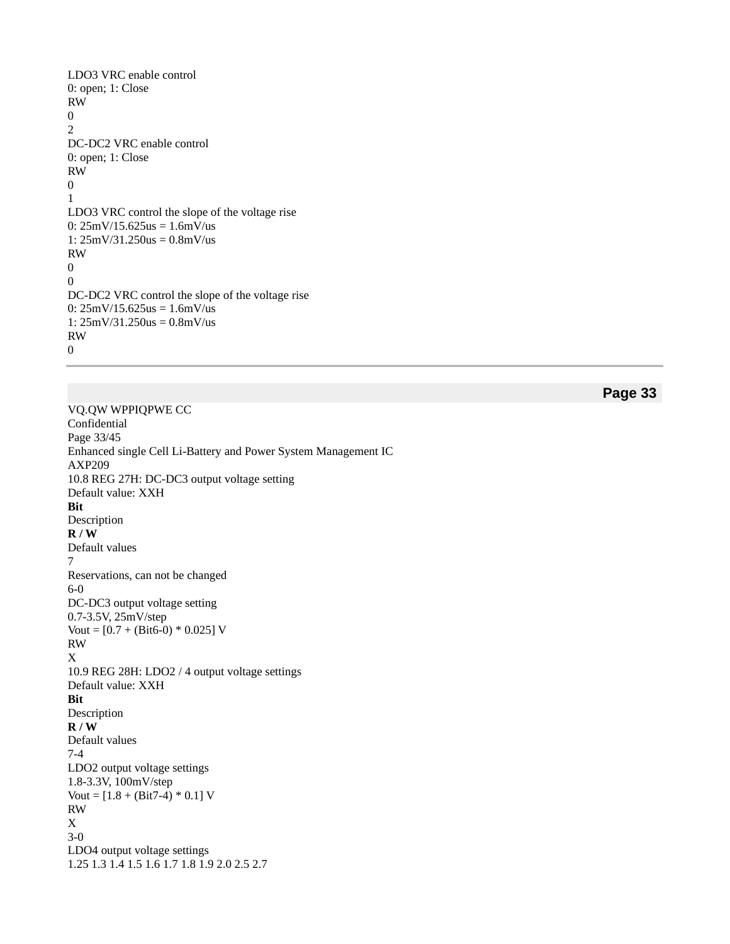```
LDO3 VRC enable control 
0: open; 1: Close 
RW 
0 
2 
DC-DC2 VRC enable control 
0: open; 1: Close 
RW 
0 
1 
LDO3 VRC control the slope of the voltage rise 
0: 25mV/15.625us = 1.6mV/us1: 25mV/31.250us = 0.8mV/usRW 
0 
0 
DC-DC2 VRC control the slope of the voltage rise 
0: 25mV/15.625us = 1.6mV/us1: 25mV/31.250us = 0.8mV/usRW 
0
```

```
VQ.QW WPPIQPWE CC 
Confidential 
Page 33/45 
Enhanced single Cell Li-Battery and Power System Management IC 
AXP209 
10.8 REG 27H: DC-DC3 output voltage setting 
Default value: XXH 
Bit
Description 
R / W
Default values 
7 
Reservations, can not be changed 
6-0 
DC-DC3 output voltage setting 
0.7-3.5V, 25mV/step 
Vout = [0.7 + (Bit6-0) * 0.025] VRW 
X 
10.9 REG 28H: LDO2 / 4 output voltage settings 
Default value: XXH 
Bit
Description 
R / W
Default values 
7-4 
LDO2 output voltage settings 
1.8-3.3V, 100mV/step 
Vout = [1.8 + (Bit7-4) * 0.1] V
RW 
X 
3-0 
LDO4 output voltage settings 
1.25 1.3 1.4 1.5 1.6 1.7 1.8 1.9 2.0 2.5 2.7
```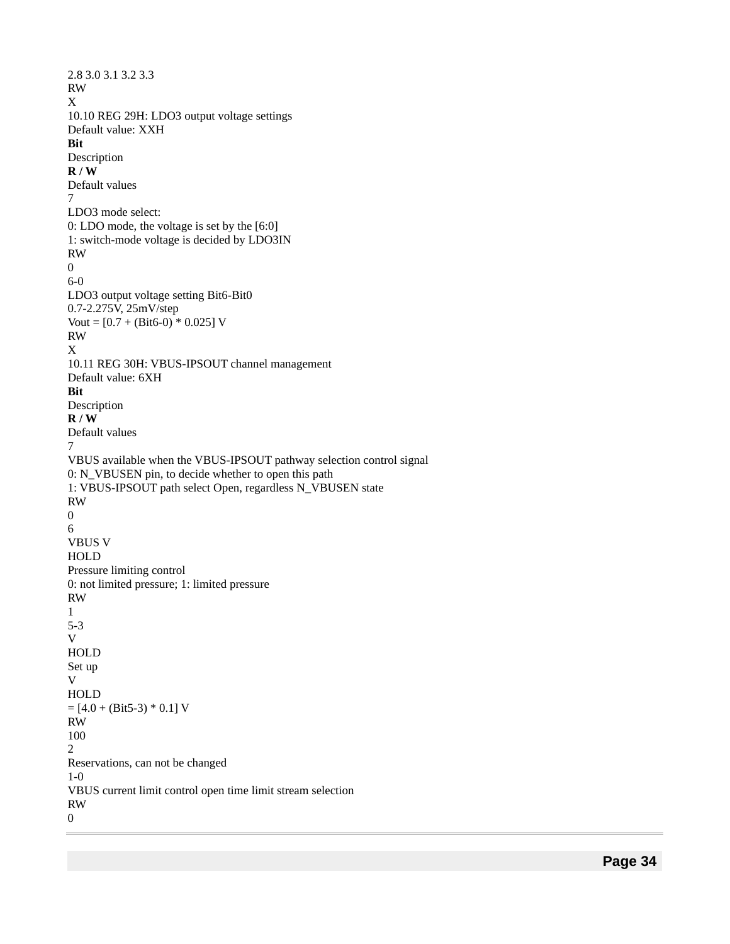2.8 3.0 3.1 3.2 3.3 RW X 10.10 REG 29H: LDO3 output voltage settings Default value: XXH **Bit** Description **R / W** Default values 7 LDO3 mode select: 0: LDO mode, the voltage is set by the [6:0] 1: switch-mode voltage is decided by LDO3IN RW 0 6-0 LDO3 output voltage setting Bit6-Bit0 0.7-2.275V, 25mV/step Vout =  $[0.7 + (Bit6-0) * 0.025] V$ RW X 10.11 REG 30H: VBUS-IPSOUT channel management Default value: 6XH **Bit** Description **R / W** Default values 7 VBUS available when the VBUS-IPSOUT pathway selection control signal 0: N\_VBUSEN pin, to decide whether to open this path 1: VBUS-IPSOUT path select Open, regardless N\_VBUSEN state RW 0 6 VBUS V HOLD Pressure limiting control 0: not limited pressure; 1: limited pressure RW 1 5-3 V HOLD Set up V HOLD  $=[4.0 + (Bit5-3) * 0.1] V$ RW 100 2 Reservations, can not be changed 1-0 VBUS current limit control open time limit stream selection RW 0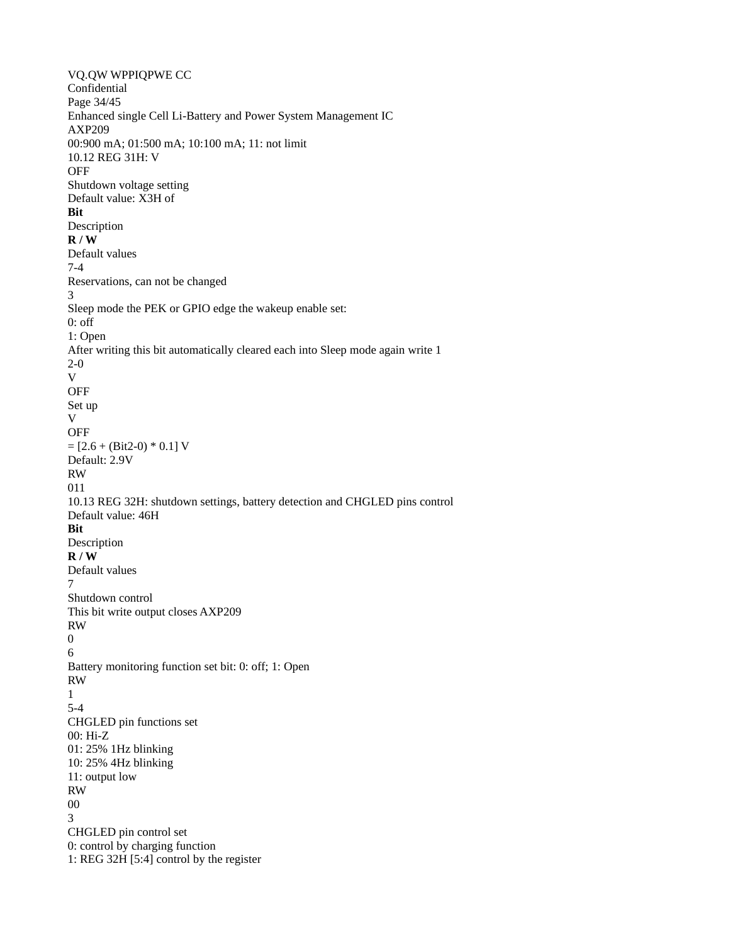VQ.QW WPPIQPWE CC Confidential Page 34/45 Enhanced single Cell Li-Battery and Power System Management IC AXP209 00:900 mA; 01:500 mA; 10:100 mA; 11: not limit 10.12 REG 31H: V **OFF** Shutdown voltage setting Default value: X3H of **Bit Description R / W** Default values 7-4 Reservations, can not be changed 3 Sleep mode the PEK or GPIO edge the wakeup enable set: 0: off 1: Open After writing this bit automatically cleared each into Sleep mode again write 1 2-0 V **OFF** Set up V **OFF**  $=[2.6 + (Bit2-0) * 0.1] V$ Default: 2.9V RW 011 10.13 REG 32H: shutdown settings, battery detection and CHGLED pins control Default value: 46H **Bit** Description **R / W** Default values 7 Shutdown control This bit write output closes AXP209 RW 0 6 Battery monitoring function set bit: 0: off; 1: Open RW 1 5-4 CHGLED pin functions set 00: Hi-Z 01: 25% 1Hz blinking 10: 25% 4Hz blinking 11: output low RW 00 3 CHGLED pin control set 0: control by charging function 1: REG 32H [5:4] control by the register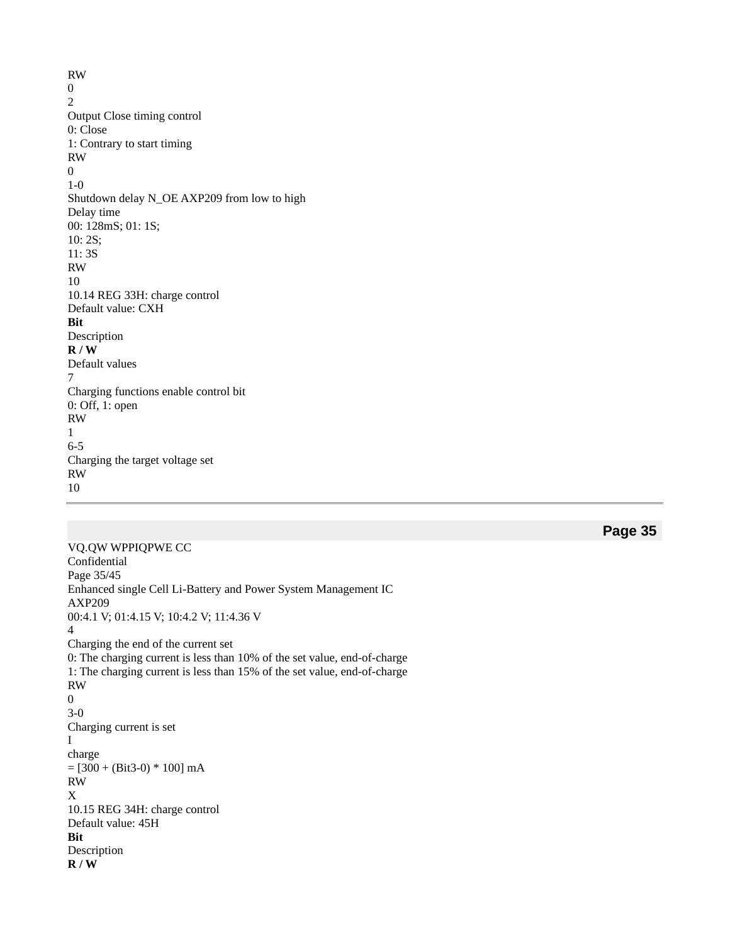RW 0 2 Output Close timing control 0: Close 1: Contrary to start timing RW 0 1-0 Shutdown delay N\_OE AXP209 from low to high Delay time 00: 128mS; 01: 1S; 10: 2S; 11: 3S RW 10 10.14 REG 33H: charge control Default value: CXH **Bit Description R / W** Default values 7 Charging functions enable control bit 0: Off, 1: open RW 1 6-5 Charging the target voltage set RW 10

VQ.QW WPPIQPWE CC Confidential Page 35/45 Enhanced single Cell Li-Battery and Power System Management IC AXP209 00:4.1 V; 01:4.15 V; 10:4.2 V; 11:4.36 V 4 Charging the end of the current set 0: The charging current is less than 10% of the set value, end-of-charge 1: The charging current is less than 15% of the set value, end-of-charge RW 0 3-0 Charging current is set I charge = [300 + (Bit3-0) \* 100] mA RW X 10.15 REG 34H: charge control Default value: 45H **Bit Description R / W**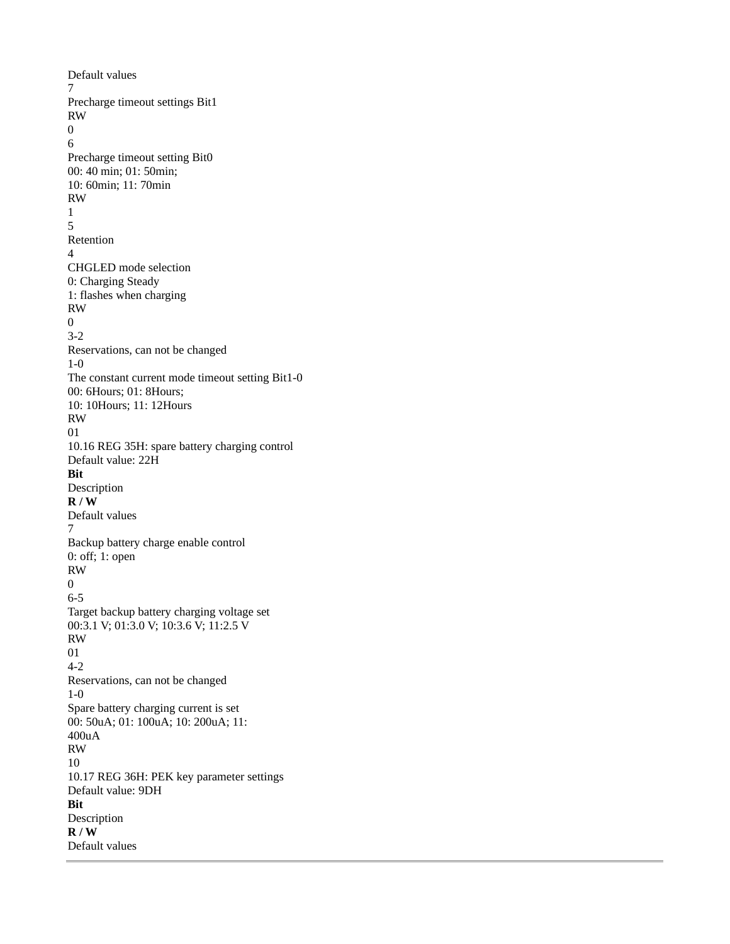Default values 7 Precharge timeout settings Bit1 RW 0 6 Precharge timeout setting Bit0 00: 40 min; 01: 50min; 10: 60min; 11: 70min RW 1 5 Retention 4 CHGLED mode selection 0: Charging Steady 1: flashes when charging RW 0 3-2 Reservations, can not be changed 1-0 The constant current mode timeout setting Bit1-0 00: 6Hours; 01: 8Hours; 10: 10Hours; 11: 12Hours RW 01 10.16 REG 35H: spare battery charging control Default value: 22H **Bit Description R / W** Default values 7 Backup battery charge enable control 0: off; 1: open RW 0 6-5 Target backup battery charging voltage set 00:3.1 V; 01:3.0 V; 10:3.6 V; 11:2.5 V RW 01 4-2 Reservations, can not be changed 1-0 Spare battery charging current is set 00: 50uA; 01: 100uA; 10: 200uA; 11: 400uA RW 10 10.17 REG 36H: PEK key parameter settings Default value: 9DH **Bit Description R / W** Default values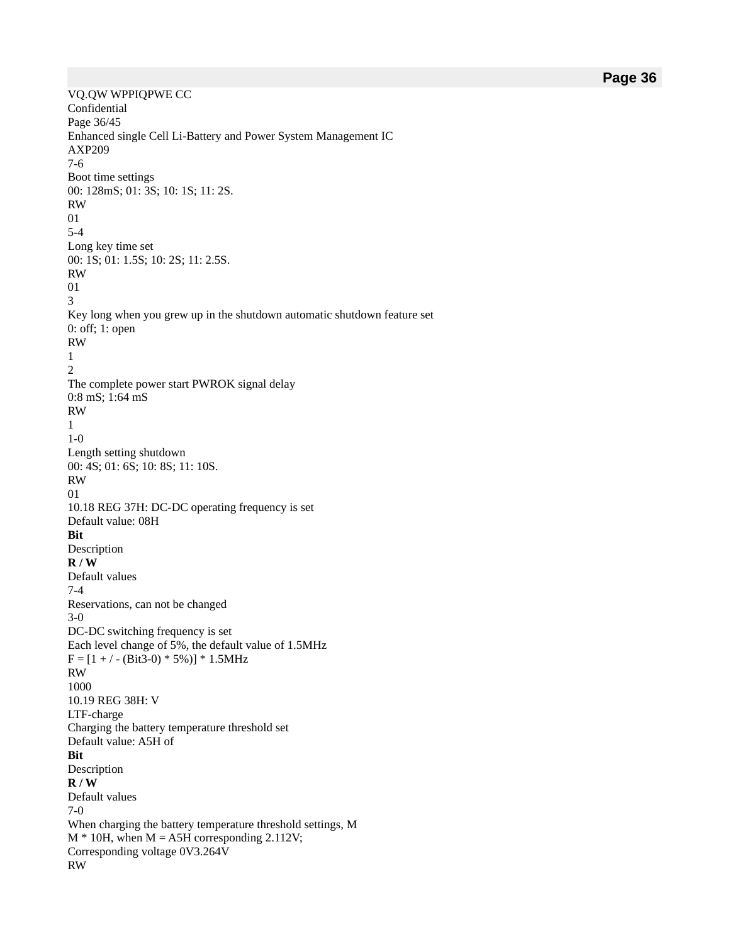VQ.QW WPPIQPWE CC Confidential Page 36/45 Enhanced single Cell Li-Battery and Power System Management IC AXP209 7-6 Boot time settings 00: 128mS; 01: 3S; 10: 1S; 11: 2S. RW 01 5-4 Long key time set 00: 1S; 01: 1.5S; 10: 2S; 11: 2.5S. RW 01 3 Key long when you grew up in the shutdown automatic shutdown feature set 0: off; 1: open RW 1 2 The complete power start PWROK signal delay 0:8 mS; 1:64 mS RW 1 1-0 Length setting shutdown 00: 4S; 01: 6S; 10: 8S; 11: 10S. RW 01 10.18 REG 37H: DC-DC operating frequency is set Default value: 08H **Bit** Description **R / W** Default values 7-4 Reservations, can not be changed 3-0 DC-DC switching frequency is set Each level change of 5%, the default value of 1.5MHz  $F = [1 + / - (Bit3-0) * 5\%)$  \* 1.5MHz RW 1000 10.19 REG 38H: V LTF-charge Charging the battery temperature threshold set Default value: A5H of **Bit Description R / W** Default values 7-0 When charging the battery temperature threshold settings, M  $M * 10H$ , when  $M = A5H$  corresponding 2.112V; Corresponding voltage 0V3.264V RW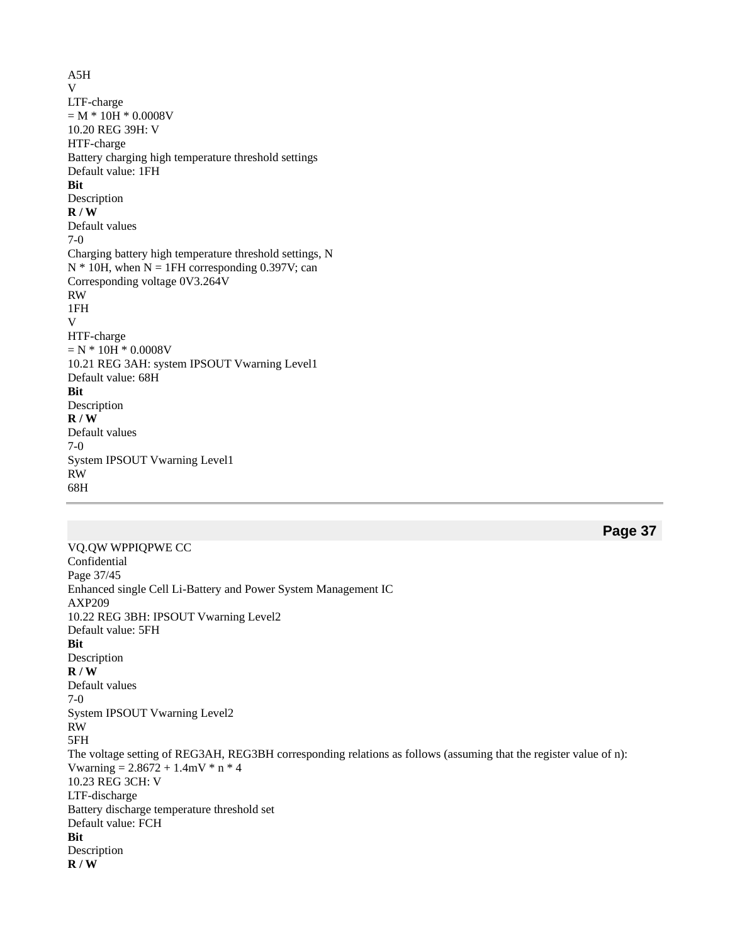A5H V LTF-charge  $= M * 10H * 0.0008V$ 10.20 REG 39H: V HTF-charge Battery charging high temperature threshold settings Default value: 1FH **Bit** Description **R / W** Default values 7-0 Charging battery high temperature threshold settings, N  $N * 10H$ , when  $N = 1FH$  corresponding 0.397V; can Corresponding voltage 0V3.264V RW 1FH V HTF-charge  $= N * 10H * 0.0008V$ 10.21 REG 3AH: system IPSOUT Vwarning Level1 Default value: 68H **Bit Description R / W** Default values 7-0 System IPSOUT Vwarning Level1 RW 68H

VQ.QW WPPIQPWE CC Confidential Page 37/45 Enhanced single Cell Li-Battery and Power System Management IC AXP209 10.22 REG 3BH: IPSOUT Vwarning Level2 Default value: 5FH **Bit Description R / W** Default values 7-0 System IPSOUT Vwarning Level2 RW 5FH The voltage setting of REG3AH, REG3BH corresponding relations as follows (assuming that the register value of n): Vwarning =  $2.8672 + 1.4$ mV \* n \* 4 10.23 REG 3CH: V LTF-discharge Battery discharge temperature threshold set Default value: FCH **Bit Description R / W**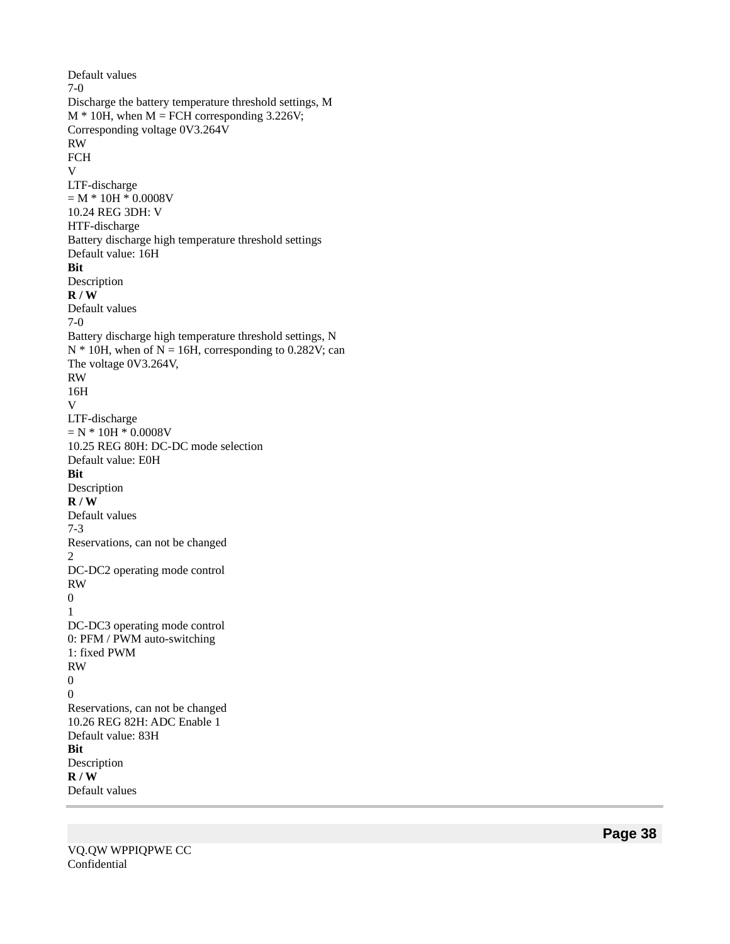Default values 7-0 Discharge the battery temperature threshold settings, M  $M * 10H$ , when  $M = FCH$  corresponding 3.226V; Corresponding voltage 0V3.264V RW **FCH** V LTF-discharge  $= M * 10H * 0.0008V$ 10.24 REG 3DH: V HTF-discharge Battery discharge high temperature threshold settings Default value: 16H **Bit** Description **R / W** Default values 7-0 Battery discharge high temperature threshold settings, N  $N * 10H$ , when of  $N = 16H$ , corresponding to 0.282V; can The voltage 0V3.264V, RW 16H V LTF-discharge  $= N * 10H * 0.0008V$ 10.25 REG 80H: DC-DC mode selection Default value: E0H **Bit Description R / W** Default values 7-3 Reservations, can not be changed 2 DC-DC2 operating mode control RW 0 1 DC-DC3 operating mode control 0: PFM / PWM auto-switching 1: fixed PWM RW 0 0 Reservations, can not be changed 10.26 REG 82H: ADC Enable 1 Default value: 83H **Bit** Description **R / W** Default values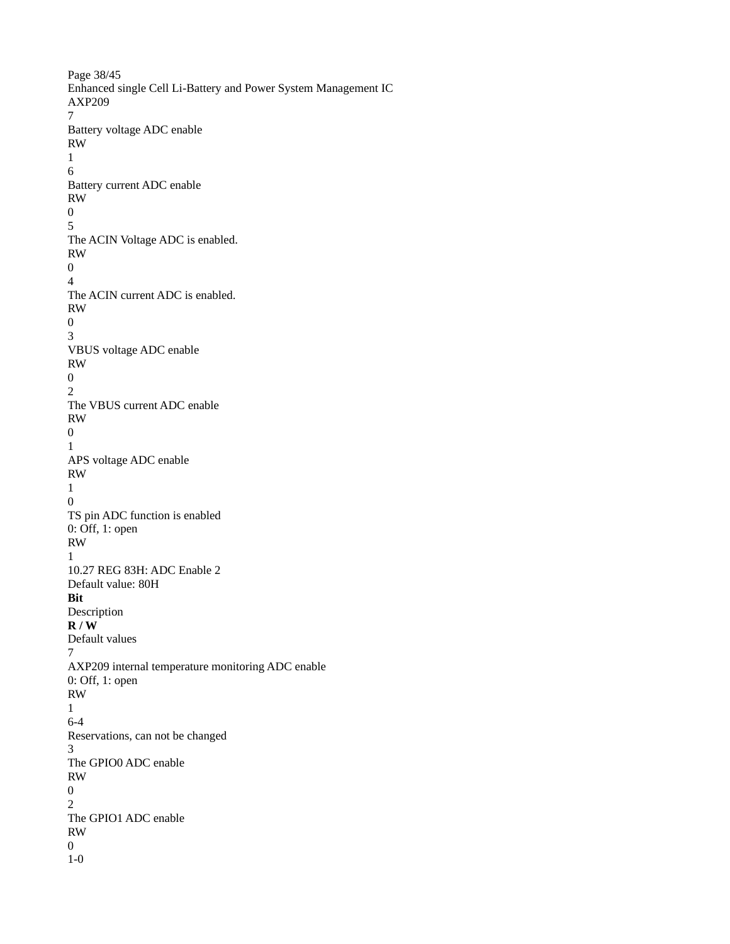Page 38/45 Enhanced single Cell Li-Battery and Power System Management IC AXP209 7 Battery voltage ADC enable RW 1 6 Battery current ADC enable RW 0 5 The ACIN Voltage ADC is enabled. RW 0 4 The ACIN current ADC is enabled. RW 0 3 VBUS voltage ADC enable RW 0 2 The VBUS current ADC enable RW  $\boldsymbol{0}$ 1 APS voltage ADC enable RW 1 0 TS pin ADC function is enabled 0: Off, 1: open RW 1 10.27 REG 83H: ADC Enable 2 Default value: 80H **Bit** Description **R / W** Default values 7 AXP209 internal temperature monitoring ADC enable 0: Off, 1: open RW 1 6-4 Reservations, can not be changed 3 The GPIO0 ADC enable RW 0 2 The GPIO1 ADC enable RW 0 1-0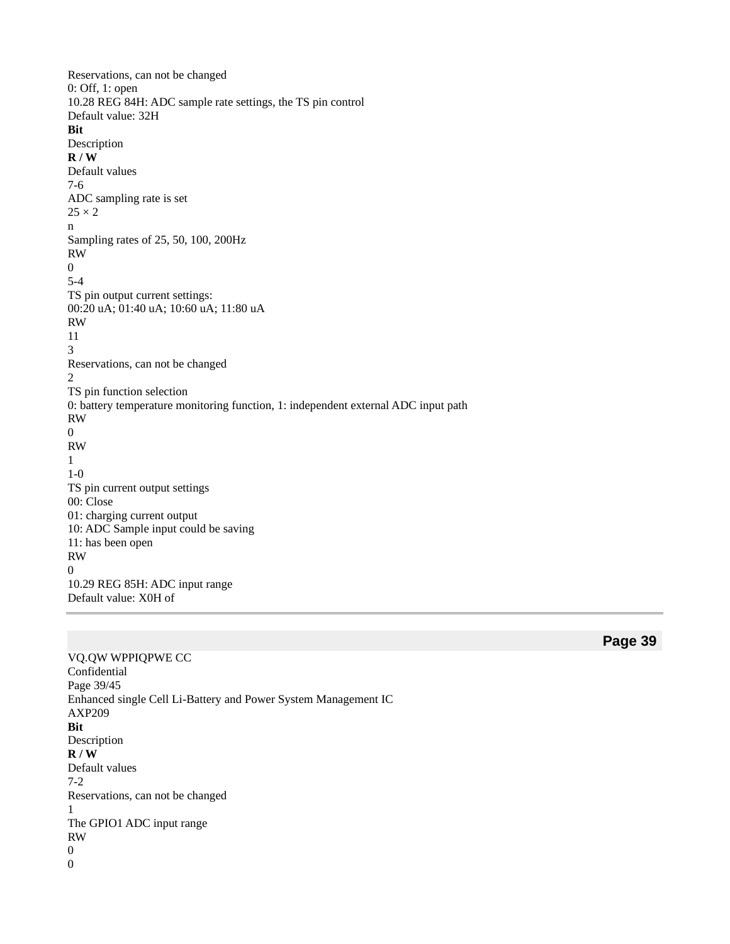Reservations, can not be changed 0: Off, 1: open 10.28 REG 84H: ADC sample rate settings, the TS pin control Default value: 32H **Bit** Description **R / W** Default values 7-6 ADC sampling rate is set  $25 \times 2$ n Sampling rates of 25, 50, 100, 200Hz RW 0 5-4 TS pin output current settings: 00:20 uA; 01:40 uA; 10:60 uA; 11:80 uA RW 11 3 Reservations, can not be changed 2 TS pin function selection 0: battery temperature monitoring function, 1: independent external ADC input path RW 0 RW 1 1-0 TS pin current output settings 00: Close 01: charging current output 10: ADC Sample input could be saving 11: has been open RW 0 10.29 REG 85H: ADC input range Default value: X0H of

**Page 39**

VQ.QW WPPIQPWE CC Confidential Page 39/45 Enhanced single Cell Li-Battery and Power System Management IC AXP209 **Bit** Description **R / W** Default values 7-2 Reservations, can not be changed 1 The GPIO1 ADC input range RW 0 0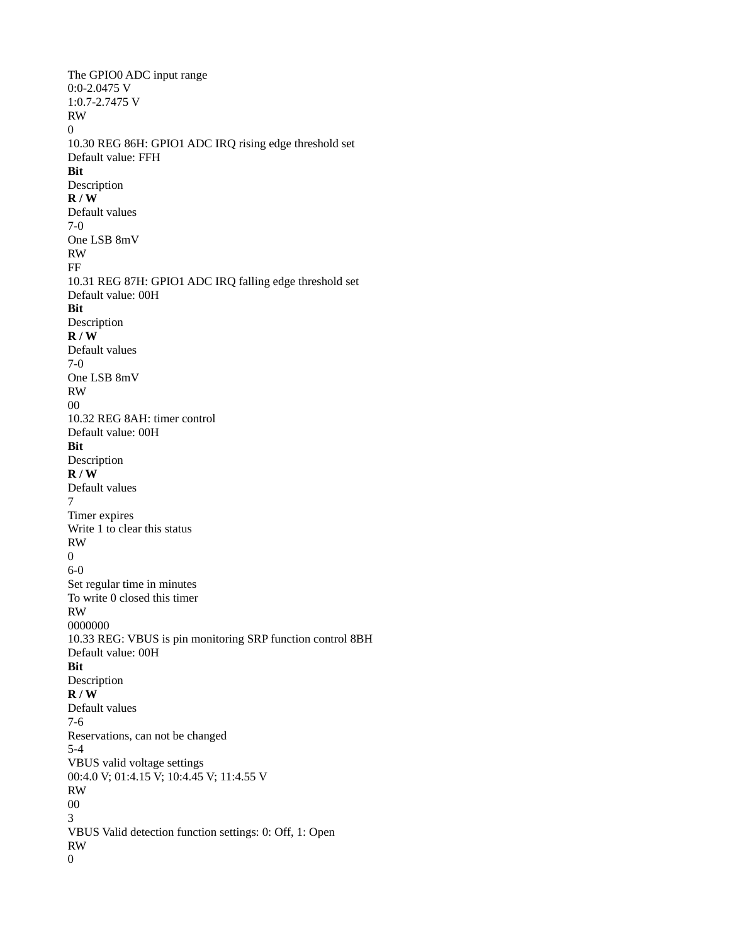The GPIO0 ADC input range 0:0-2.0475 V 1:0.7-2.7475 V RW 0 10.30 REG 86H: GPIO1 ADC IRQ rising edge threshold set Default value: FFH **Bit** Description **R / W** Default values 7-0 One LSB 8mV RW FF 10.31 REG 87H: GPIO1 ADC IRQ falling edge threshold set Default value: 00H **Bit** Description **R / W** Default values 7-0 One LSB 8mV RW 00 10.32 REG 8AH: timer control Default value: 00H **Bit** Description **R / W** Default values 7 Timer expires Write 1 to clear this status RW 0 6-0 Set regular time in minutes To write 0 closed this timer RW 0000000 10.33 REG: VBUS is pin monitoring SRP function control 8BH Default value: 00H **Bit** Description **R / W** Default values 7-6 Reservations, can not be changed 5-4 VBUS valid voltage settings 00:4.0 V; 01:4.15 V; 10:4.45 V; 11:4.55 V RW 00 3 VBUS Valid detection function settings: 0: Off, 1: Open RW 0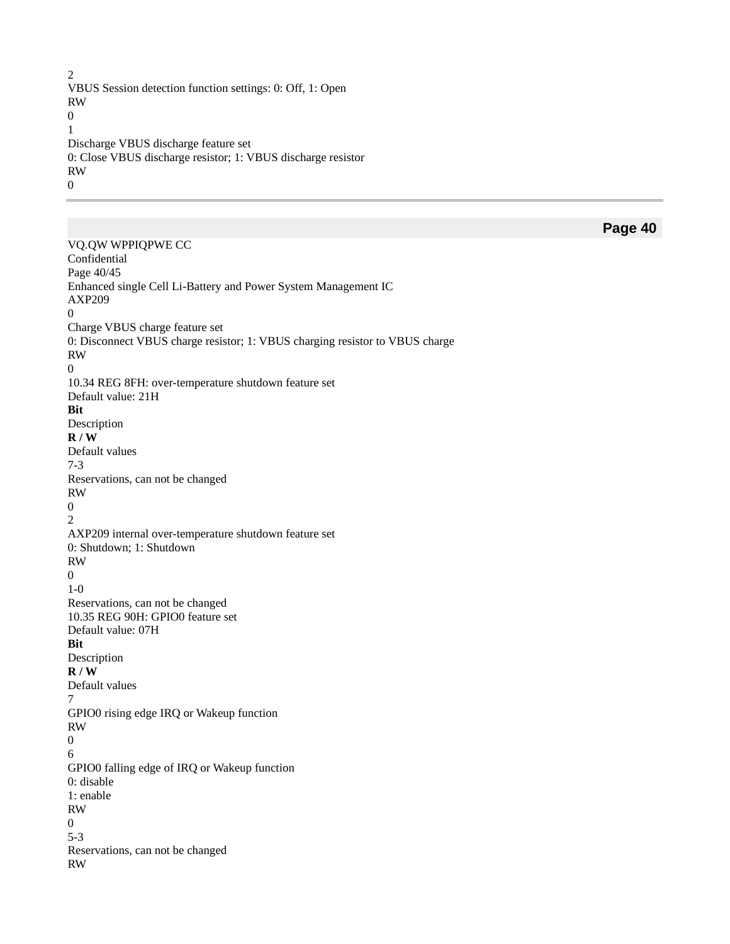2 VBUS Session detection function settings: 0: Off, 1: Open RW 0 1 Discharge VBUS discharge feature set 0: Close VBUS discharge resistor; 1: VBUS discharge resistor RW 0

**Page 40**

VQ.QW WPPIQPWE CC Confidential Page 40/45 Enhanced single Cell Li-Battery and Power System Management IC AXP209  $\Omega$ Charge VBUS charge feature set 0: Disconnect VBUS charge resistor; 1: VBUS charging resistor to VBUS charge RW 0 10.34 REG 8FH: over-temperature shutdown feature set Default value: 21H **Bit Description R / W** Default values 7-3 Reservations, can not be changed RW 0 2 AXP209 internal over-temperature shutdown feature set 0: Shutdown; 1: Shutdown RW 0 1-0 Reservations, can not be changed 10.35 REG 90H: GPIO0 feature set Default value: 07H **Bit Description R / W** Default values 7 GPIO0 rising edge IRQ or Wakeup function RW 0 6 GPIO0 falling edge of IRQ or Wakeup function 0: disable 1: enable RW 0 5-3 Reservations, can not be changed RW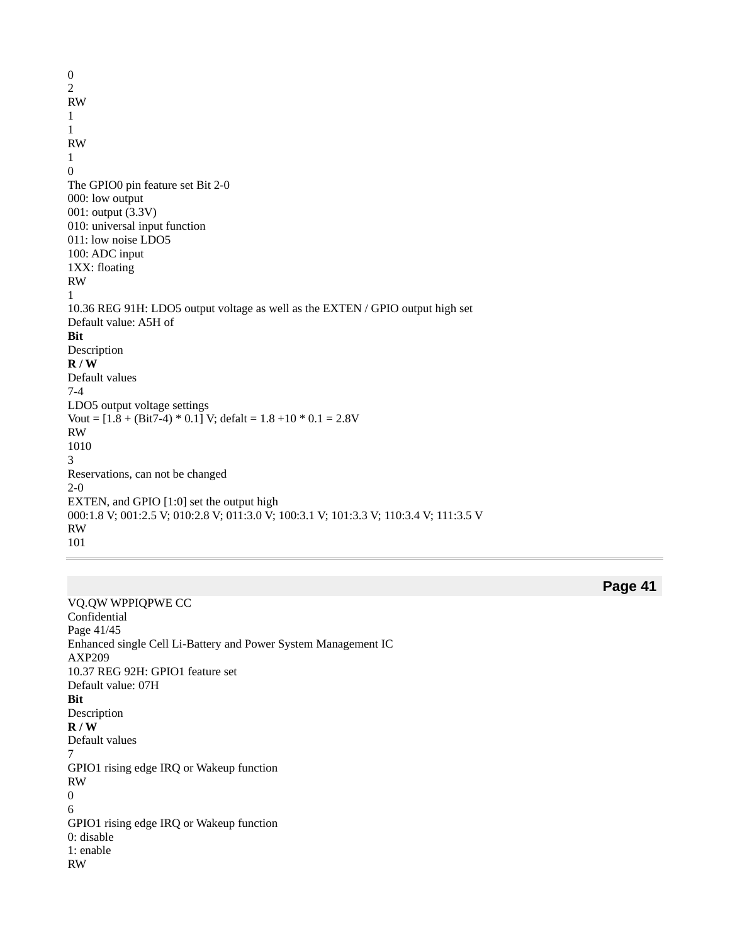```
0 
2 
RW 
1 
1 
RW 
1 
0 
The GPIO0 pin feature set Bit 2-0 
000: low output 
001: output (3.3V) 
010: universal input function 
011: low noise LDO5 
100: ADC input 
1XX: floating 
RW 
1 
10.36 REG 91H: LDO5 output voltage as well as the EXTEN / GPIO output high set 
Default value: A5H of 
Bit
Description 
R / W
Default values 
7-4 
LDO5 output voltage settings 
Vout = [1.8 + (Bit7-4) * 0.1] V; defalt = 1.8 + 10 * 0.1 = 2.8VRW 
1010 
3 
Reservations, can not be changed 
2-0 
EXTEN, and GPIO [1:0] set the output high 
000:1.8 V; 001:2.5 V; 010:2.8 V; 011:3.0 V; 100:3.1 V; 101:3.3 V; 110:3.4 V; 111:3.5 V 
RW 
101
```

```
VQ.QW WPPIQPWE CC 
Confidential 
Page 41/45 
Enhanced single Cell Li-Battery and Power System Management IC 
AXP209 
10.37 REG 92H: GPIO1 feature set 
Default value: 07H 
Bit
Description
R / W
Default values 
7 
GPIO1 rising edge IRQ or Wakeup function 
RW 
0 
6 
GPIO1 rising edge IRQ or Wakeup function 
0: disable 
1: enable 
RW
```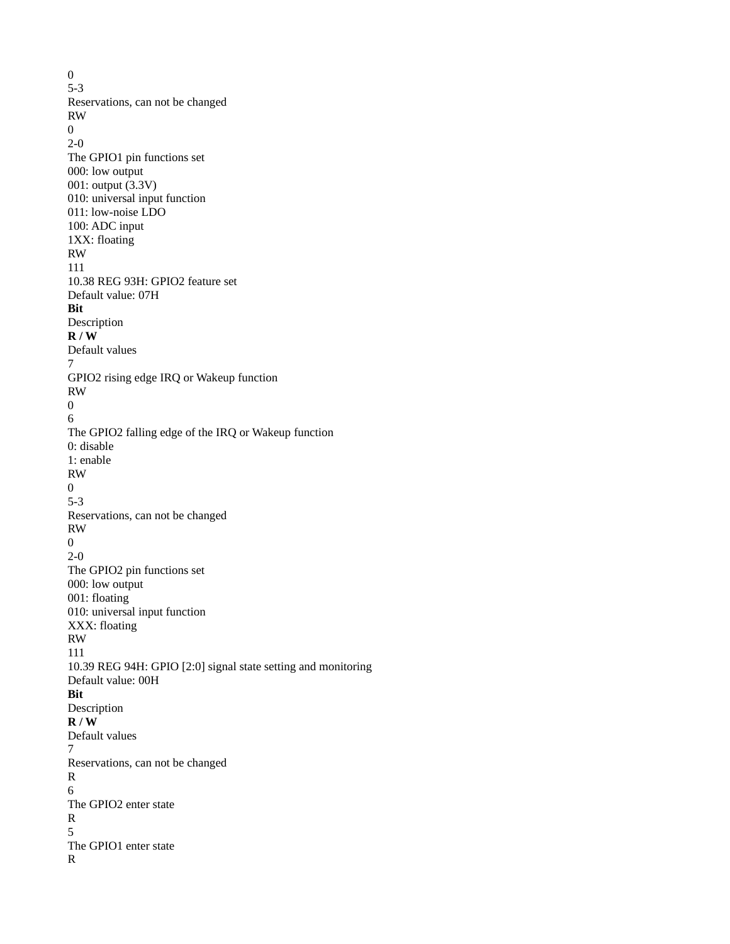0 5-3 Reservations, can not be changed RW 0 2-0 The GPIO1 pin functions set 000: low output 001: output (3.3V) 010: universal input function 011: low-noise LDO 100: ADC input 1XX: floating RW 111 10.38 REG 93H: GPIO2 feature set Default value: 07H **Bit** Description **R / W** Default values 7 GPIO2 rising edge IRQ or Wakeup function RW  $\boldsymbol{0}$ 6 The GPIO2 falling edge of the IRQ or Wakeup function 0: disable 1: enable RW 0 5-3 Reservations, can not be changed RW 0 2-0 The GPIO2 pin functions set 000: low output 001: floating 010: universal input function XXX: floating RW 111 10.39 REG 94H: GPIO [2:0] signal state setting and monitoring Default value: 00H **Bit** Description **R / W** Default values 7 Reservations, can not be changed R 6 The GPIO2 enter state R 5 The GPIO1 enter state R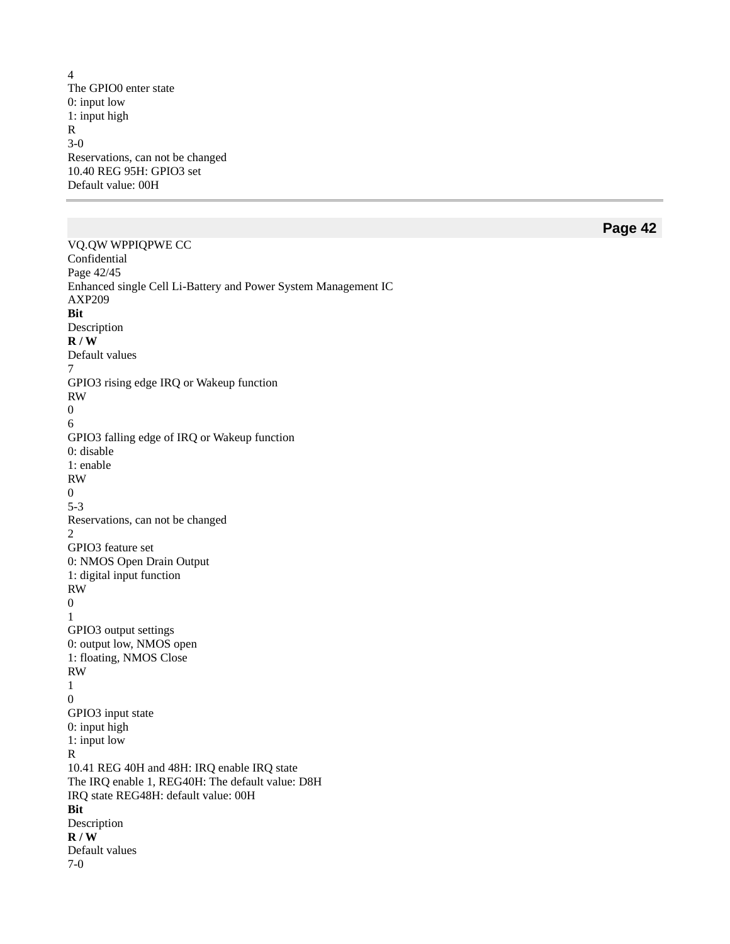4 The GPIO0 enter state 0: input low 1: input high R 3-0 Reservations, can not be changed 10.40 REG 95H: GPIO3 set Default value: 00H

VQ.QW WPPIQPWE CC Confidential Page 42/45 Enhanced single Cell Li-Battery and Power System Management IC AXP209 **Bit Description R / W** Default values 7 GPIO3 rising edge IRQ or Wakeup function RW 0 6 GPIO3 falling edge of IRQ or Wakeup function 0: disable 1: enable RW  $\boldsymbol{0}$ 5-3 Reservations, can not be changed 2 GPIO3 feature set 0: NMOS Open Drain Output 1: digital input function RW 0 1 GPIO3 output settings 0: output low, NMOS open 1: floating, NMOS Close RW 1 0 GPIO3 input state 0: input high 1: input low R 10.41 REG 40H and 48H: IRQ enable IRQ state The IRQ enable 1, REG40H: The default value: D8H IRQ state REG48H: default value: 00H **Bit Description R / W** Default values 7-0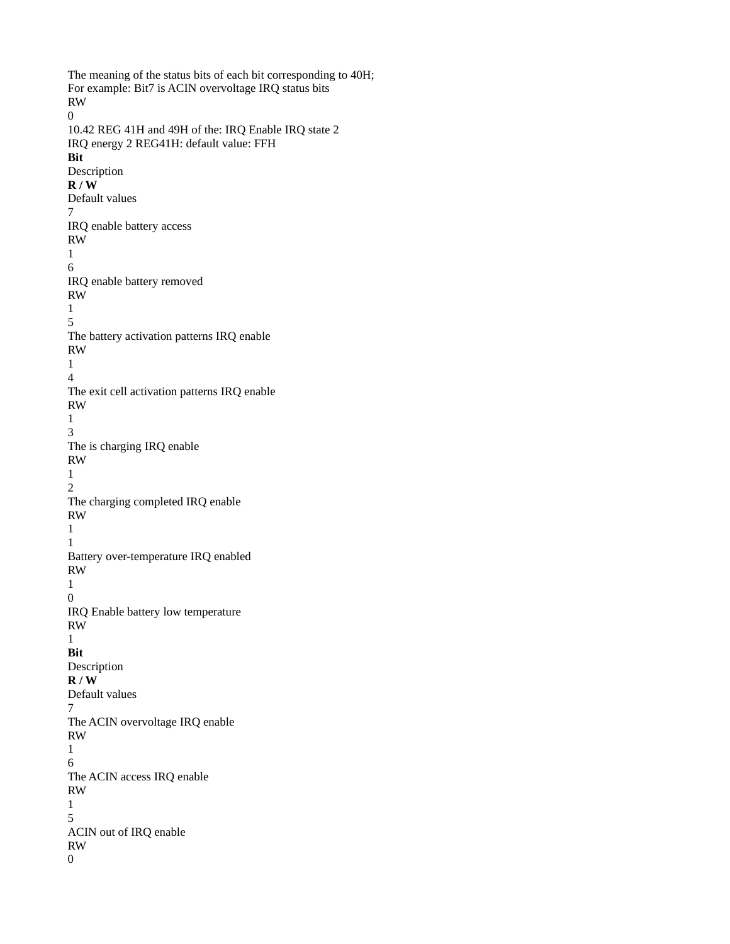The meaning of the status bits of each bit corresponding to 40H; For example: Bit7 is ACIN overvoltage IRQ status bits RW 0 10.42 REG 41H and 49H of the: IRQ Enable IRQ state 2 IRQ energy 2 REG41H: default value: FFH **Bit** Description **R / W** Default values 7 IRQ enable battery access RW 1 6 IRQ enable battery removed RW 1 5 The battery activation patterns IRQ enable RW 1 4 The exit cell activation patterns IRQ enable RW 1 3 The is charging IRQ enable RW 1 2 The charging completed IRQ enable RW 1 1 Battery over-temperature IRQ enabled RW 1 0 IRQ Enable battery low temperature RW 1 **Bit** Description **R / W** Default values 7 The ACIN overvoltage IRQ enable RW 1 6 The ACIN access IRQ enable RW 1 5 ACIN out of IRQ enable RW 0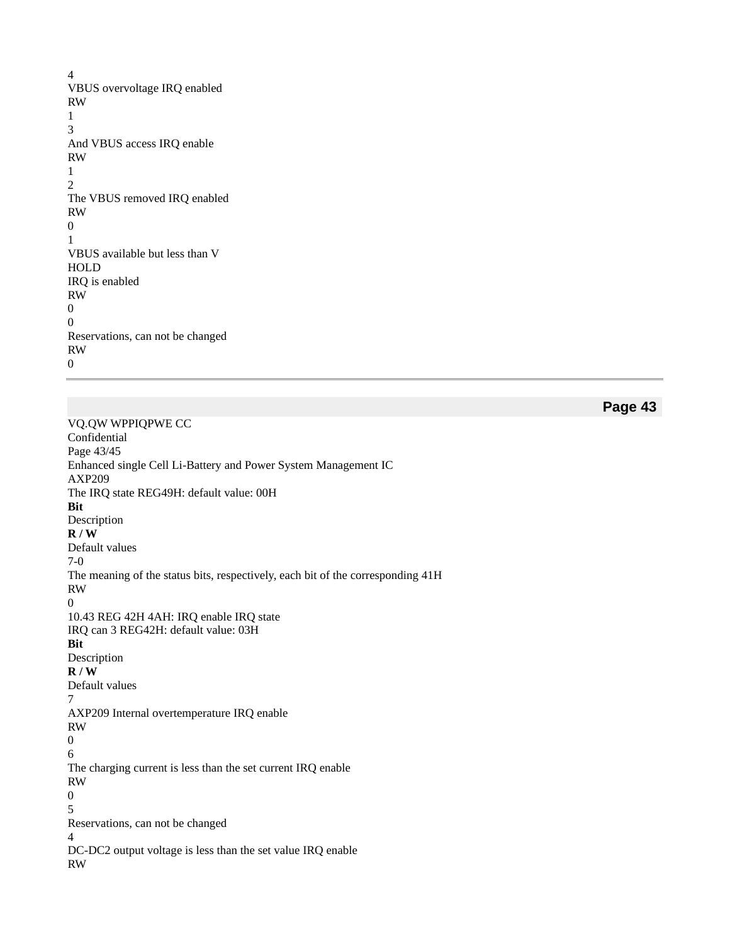4 VBUS overvoltage IRQ enabled RW 1 3 And VBUS access IRQ enable RW 1 2 The VBUS removed IRQ enabled RW 0 1 VBUS available but less than V HOLD IRQ is enabled RW 0 0 Reservations, can not be changed RW 0

**Page 43**

VQ.QW WPPIQPWE CC Confidential Page 43/45 Enhanced single Cell Li-Battery and Power System Management IC AXP209 The IRQ state REG49H: default value: 00H **Bit** Description **R / W** Default values 7-0 The meaning of the status bits, respectively, each bit of the corresponding 41H RW 0 10.43 REG 42H 4AH: IRQ enable IRQ state IRQ can 3 REG42H: default value: 03H **Bit Description R / W** Default values 7 AXP209 Internal overtemperature IRQ enable RW 0 6 The charging current is less than the set current IRQ enable RW 0 5 Reservations, can not be changed 4 DC-DC2 output voltage is less than the set value IRQ enable RW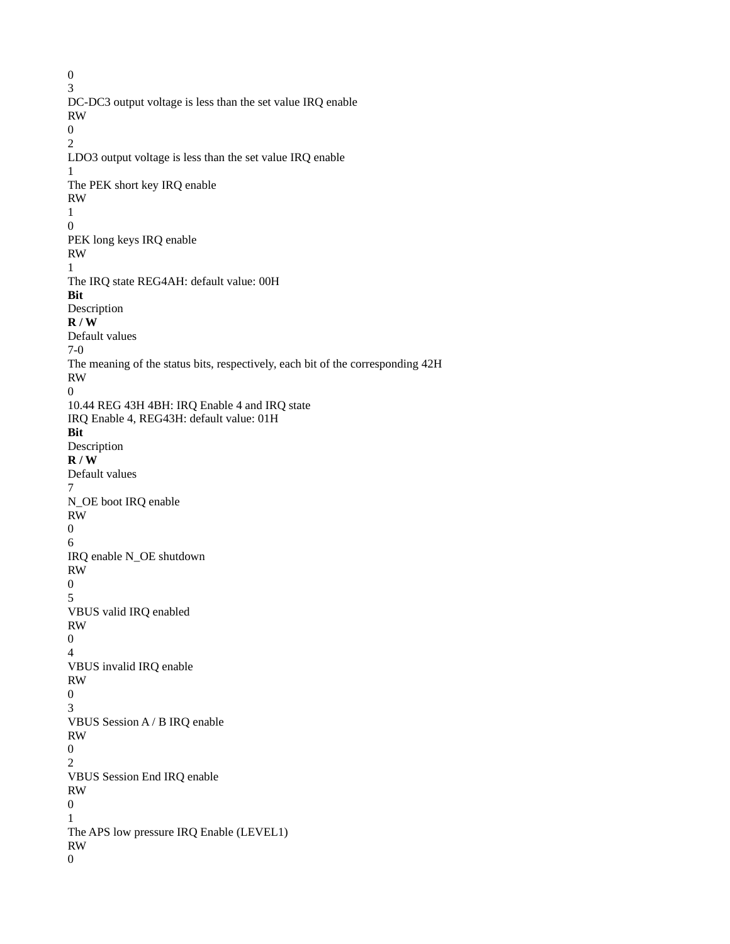0 3 DC-DC3 output voltage is less than the set value IRQ enable RW  $\boldsymbol{0}$ 2 LDO3 output voltage is less than the set value IRQ enable 1 The PEK short key IRQ enable RW 1 0 PEK long keys IRQ enable RW 1 The IRQ state REG4AH: default value: 00H **Bit** Description **R / W** Default values 7-0 The meaning of the status bits, respectively, each bit of the corresponding 42H RW 0 10.44 REG 43H 4BH: IRQ Enable 4 and IRQ state IRQ Enable 4, REG43H: default value: 01H **Bit Description R / W** Default values 7 N\_OE boot IRQ enable RW 0 6 IRQ enable N\_OE shutdown RW 0 5 VBUS valid IRQ enabled RW 0 4 VBUS invalid IRQ enable RW 0 3 VBUS Session A / B IRQ enable RW 0 2 VBUS Session End IRQ enable RW 0 1 The APS low pressure IRQ Enable (LEVEL1) RW 0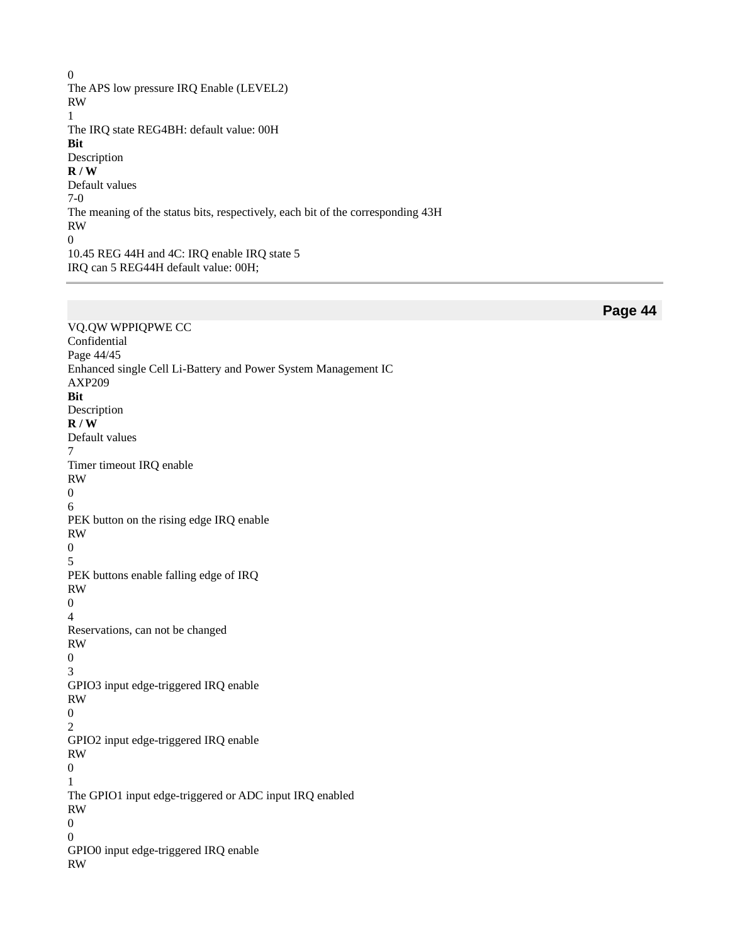0 The APS low pressure IRQ Enable (LEVEL2) RW 1 The IRQ state REG4BH: default value: 00H **Bit** Description **R / W** Default values 7-0 The meaning of the status bits, respectively, each bit of the corresponding 43H RW 0 10.45 REG 44H and 4C: IRQ enable IRQ state 5 IRQ can 5 REG44H default value: 00H;

VQ.QW WPPIQPWE CC

**Page 44**

### Confidential Page 44/45 Enhanced single Cell Li-Battery and Power System Management IC AXP209 **Bit** Description **R / W** Default values 7 Timer timeout IRQ enable RW 0 6 PEK button on the rising edge IRQ enable RW 0 5 PEK buttons enable falling edge of IRQ RW 0 4 Reservations, can not be changed RW 0 3 GPIO3 input edge-triggered IRQ enable RW 0 2 GPIO2 input edge-triggered IRQ enable RW 0 1 The GPIO1 input edge-triggered or ADC input IRQ enabled RW 0 0 GPIO0 input edge-triggered IRQ enable RW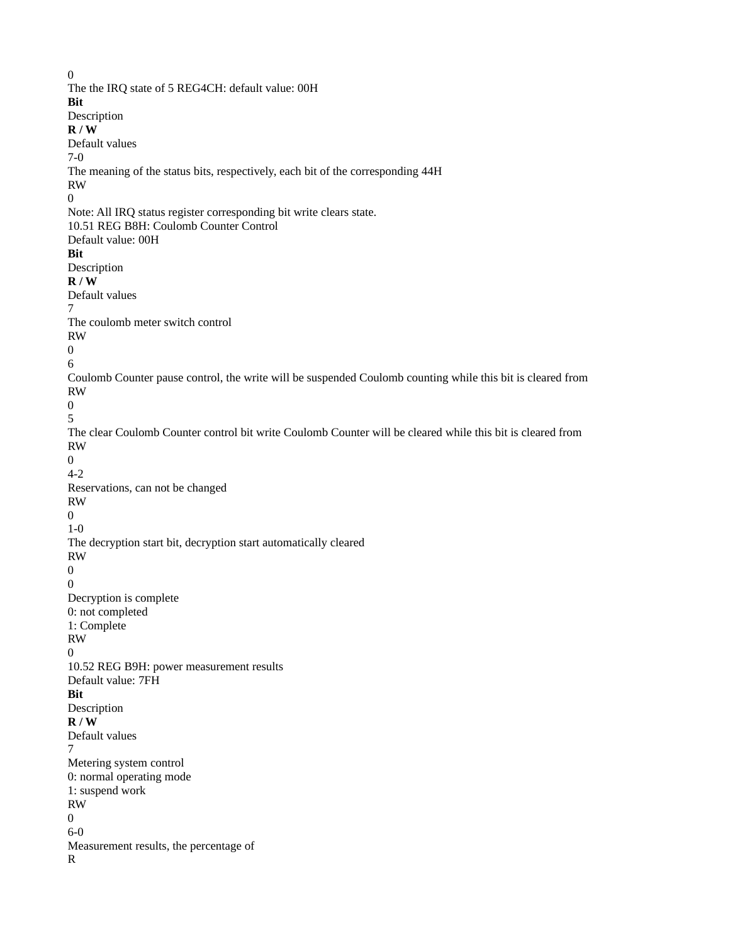0 The the IRQ state of 5 REG4CH: default value: 00H **Bit Description R / W** Default values 7-0 The meaning of the status bits, respectively, each bit of the corresponding 44H RW 0 Note: All IRQ status register corresponding bit write clears state. 10.51 REG B8H: Coulomb Counter Control Default value: 00H **Bit Description R / W** Default values 7 The coulomb meter switch control RW 0 6 Coulomb Counter pause control, the write will be suspended Coulomb counting while this bit is cleared from RW  $\boldsymbol{0}$ 5 The clear Coulomb Counter control bit write Coulomb Counter will be cleared while this bit is cleared from RW 0 4-2 Reservations, can not be changed RW 0 1-0 The decryption start bit, decryption start automatically cleared RW 0 0 Decryption is complete 0: not completed 1: Complete RW 0 10.52 REG B9H: power measurement results Default value: 7FH **Bit** Description **R / W** Default values 7 Metering system control 0: normal operating mode 1: suspend work RW 0 6-0 Measurement results, the percentage of R